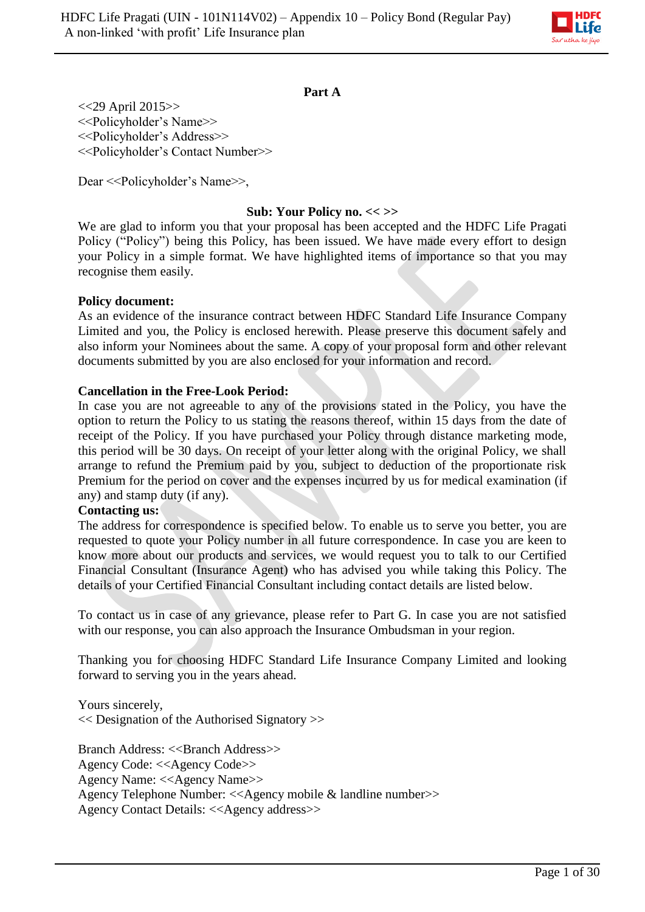

### **Part A**

<<29 April 2015>> <<Policyholder's Name>> <<Policyholder's Address>> <<Policyholder's Contact Number>>

Dear << Policyholder's Name >>,

### **Sub: Your Policy no. << >>**

We are glad to inform you that your proposal has been accepted and the HDFC Life Pragati Policy ("Policy") being this Policy, has been issued. We have made every effort to design your Policy in a simple format. We have highlighted items of importance so that you may recognise them easily.

#### **Policy document:**

As an evidence of the insurance contract between HDFC Standard Life Insurance Company Limited and you, the Policy is enclosed herewith. Please preserve this document safely and also inform your Nominees about the same. A copy of your proposal form and other relevant documents submitted by you are also enclosed for your information and record.

#### **Cancellation in the Free-Look Period:**

In case you are not agreeable to any of the provisions stated in the Policy, you have the option to return the Policy to us stating the reasons thereof, within 15 days from the date of receipt of the Policy. If you have purchased your Policy through distance marketing mode, this period will be 30 days. On receipt of your letter along with the original Policy, we shall arrange to refund the Premium paid by you, subject to deduction of the proportionate risk Premium for the period on cover and the expenses incurred by us for medical examination (if any) and stamp duty (if any).

#### **Contacting us:**

The address for correspondence is specified below. To enable us to serve you better, you are requested to quote your Policy number in all future correspondence. In case you are keen to know more about our products and services, we would request you to talk to our Certified Financial Consultant (Insurance Agent) who has advised you while taking this Policy. The details of your Certified Financial Consultant including contact details are listed below.

To contact us in case of any grievance, please refer to Part G. In case you are not satisfied with our response, you can also approach the Insurance Ombudsman in your region.

Thanking you for choosing HDFC Standard Life Insurance Company Limited and looking forward to serving you in the years ahead.

Yours sincerely, << Designation of the Authorised Signatory >>

Branch Address: <<Br/>SBranch Address>> Agency Code: <<Agency Code>> Agency Name: <<Agency Name>> Agency Telephone Number: <<Agency mobile & landline number>> Agency Contact Details: <<Agency address>>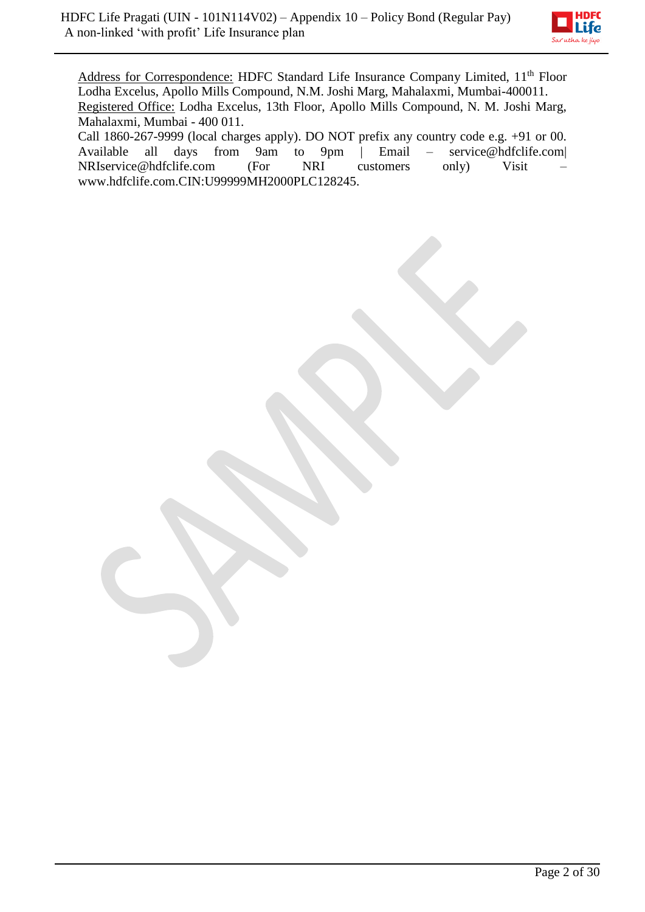

Address for Correspondence: HDFC Standard Life Insurance Company Limited, 11<sup>th</sup> Floor Lodha Excelus, Apollo Mills Compound, N.M. Joshi Marg, Mahalaxmi, Mumbai-400011. Registered Office: Lodha Excelus, 13th Floor, Apollo Mills Compound, N. M. Joshi Marg, Mahalaxmi, Mumbai - 400 011.

Call 1860-267-9999 (local charges apply). DO NOT prefix any country code e.g. +91 or 00.<br>Available all days from 9am to 9pm | Email – service@hdfclife.com| Available all days from 9am to 9pm | Email – service@hdfclife.com| NRIservice@hdfclife.com (For NRI customers only) Visit – www.hdfclife.com.CIN:U99999MH2000PLC128245.

Page 2 of 30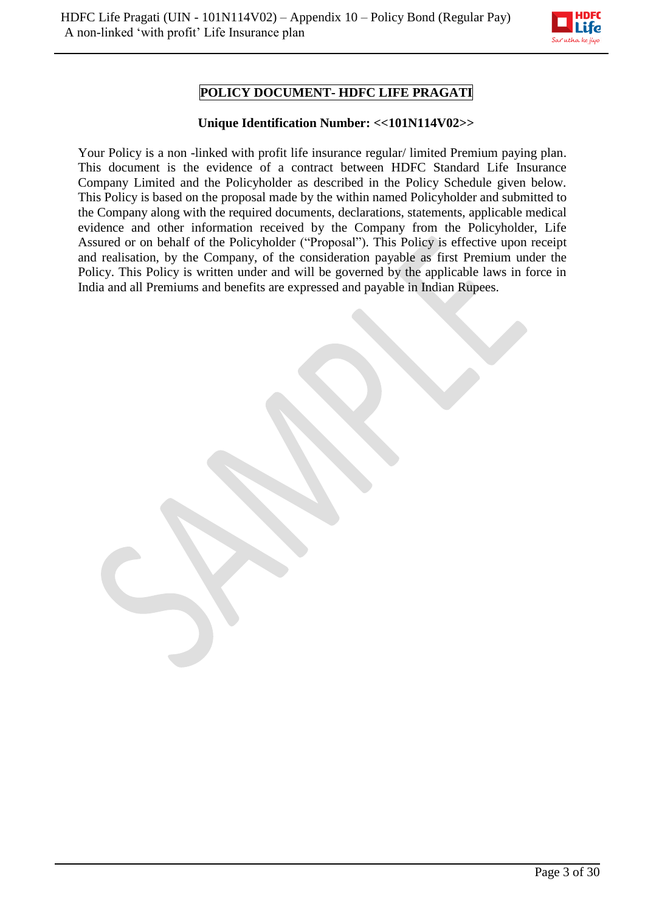

# **POLICY DOCUMENT- HDFC LIFE PRAGATI**

### **Unique Identification Number: <<101N114V02>>**

Your Policy is a non -linked with profit life insurance regular/ limited Premium paying plan. This document is the evidence of a contract between HDFC Standard Life Insurance Company Limited and the Policyholder as described in the Policy Schedule given below. This Policy is based on the proposal made by the within named Policyholder and submitted to the Company along with the required documents, declarations, statements, applicable medical evidence and other information received by the Company from the Policyholder, Life Assured or on behalf of the Policyholder ("Proposal"). This Policy is effective upon receipt and realisation, by the Company, of the consideration payable as first Premium under the Policy. This Policy is written under and will be governed by the applicable laws in force in India and all Premiums and benefits are expressed and payable in Indian Rupees.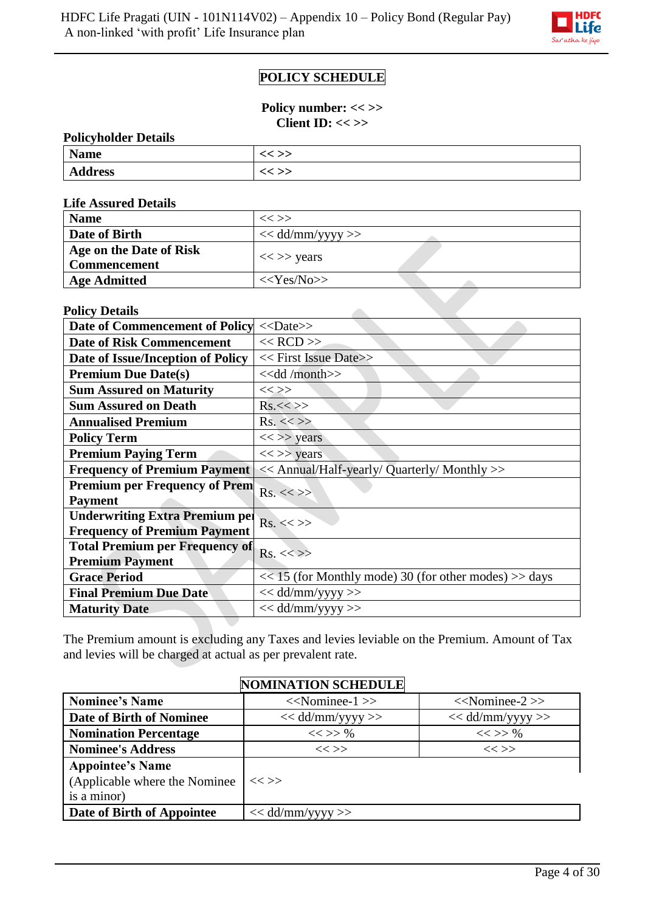

# **POLICY SCHEDULE**

**Policy number: << >> Client ID: << >>**

| <b>Policyholder Details</b> |          |  |  |  |  |
|-----------------------------|----------|--|--|--|--|
| <b>Name</b>                 | $<<$ >>  |  |  |  |  |
| <b>Address</b>              | $\ll$ >> |  |  |  |  |

**Life Assured Details**

| <b>Name</b>                                    | $<<$ $>>$          |
|------------------------------------------------|--------------------|
| Date of Birth                                  | $<<$ dd/mm/yyyy >> |
| Age on the Date of Risk<br><b>Commencement</b> | $<<$ >> years      |
| <b>Age Admitted</b>                            | $<<\text{Yes/No}$  |

z.

#### **Policy Details**

| Date of Commencement of Policy        | $<<$ Date>>                                               |
|---------------------------------------|-----------------------------------------------------------|
| <b>Date of Risk Commencement</b>      | $<<$ RCD $>>$                                             |
| Date of Issue/Inception of Policy     | << First Issue Date>>                                     |
| <b>Premium Due Date(s)</b>            | $<<$ dd /month>>                                          |
| <b>Sum Assured on Maturity</b>        | $<<$ $>>$                                                 |
| <b>Sum Assured on Death</b>           | Rs.<>>                                                    |
| <b>Annualised Premium</b>             | $Rs. \ll>>$                                               |
| <b>Policy Term</b>                    | $<<$ >> years                                             |
| <b>Premium Paying Term</b>            | $<<$ >> years                                             |
| <b>Frequency of Premium Payment</b>   | << Annual/Half-yearly/ Quarterly/ Monthly >>              |
| <b>Premium per Frequency of Prem</b>  | $Rs. \ll >>$                                              |
| <b>Payment</b>                        |                                                           |
| <b>Underwriting Extra Premium pel</b> | $Rs. \ll >>$                                              |
| <b>Frequency of Premium Payment</b>   |                                                           |
| <b>Total Premium per Frequency of</b> | $Rs. \ll>>$                                               |
| <b>Premium Payment</b>                |                                                           |
| <b>Grace Period</b>                   | $<< 15$ (for Monthly mode) 30 (for other modes) $>>$ days |
| <b>Final Premium Due Date</b>         | $<<$ dd/mm/yyyy >>                                        |
| <b>Maturity Date</b>                  | $<<$ dd/mm/yyyy >>                                        |

The Premium amount is excluding any Taxes and levies leviable on the Premium. Amount of Tax and levies will be charged at actual as per prevalent rate.

|                                | <b>NOMINATION SCHEDULE</b> |                      |
|--------------------------------|----------------------------|----------------------|
| <b>Nominee's Name</b>          | $<<$ Nominee-1 $>>$        | $<<$ Nominee-2 $>>$  |
| Date of Birth of Nominee       | $<<$ dd/mm/yyyy $>>$       | $<<$ dd/mm/yyyy $>>$ |
| <b>Nomination Percentage</b>   | $<<$ >> %                  | $<<$ >> %            |
| <b>Nominee's Address</b>       | $<<$ >>                    | $<<$ $>>$            |
| <b>Appointee's Name</b>        |                            |                      |
| (Applicable where the Nominee) | $<<$ >>                    |                      |
| is a minor)                    |                            |                      |
| Date of Birth of Appointee     | $<<$ dd/mm/yyyy >>         |                      |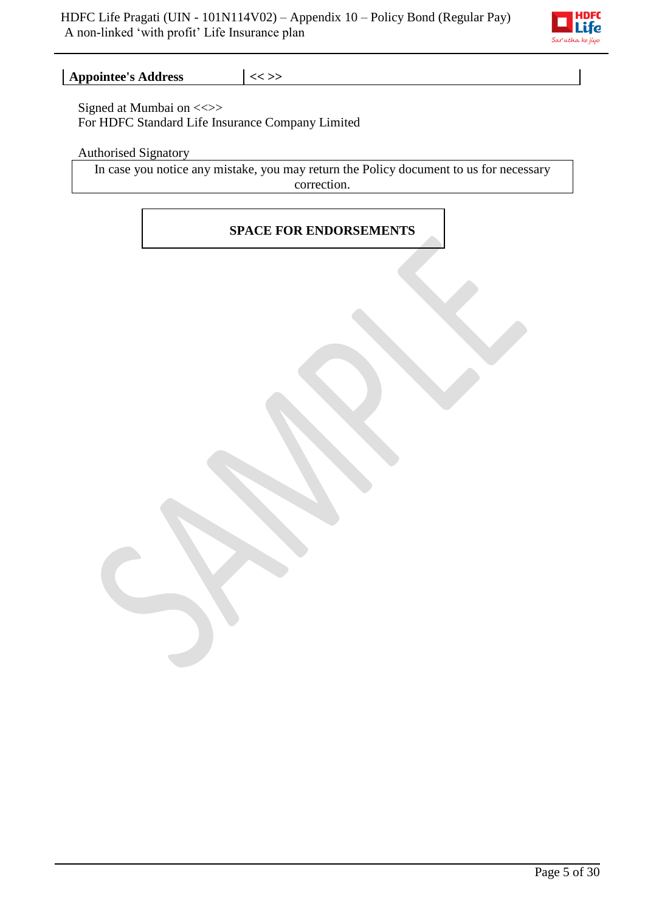

**Appointee's Address**  $\vert \ll \rangle$ 

Signed at Mumbai on <<>> For HDFC Standard Life Insurance Company Limited

Authorised Signatory

In case you notice any mistake, you may return the Policy document to us for necessary correction.

# **SPACE FOR ENDORSEMENTS**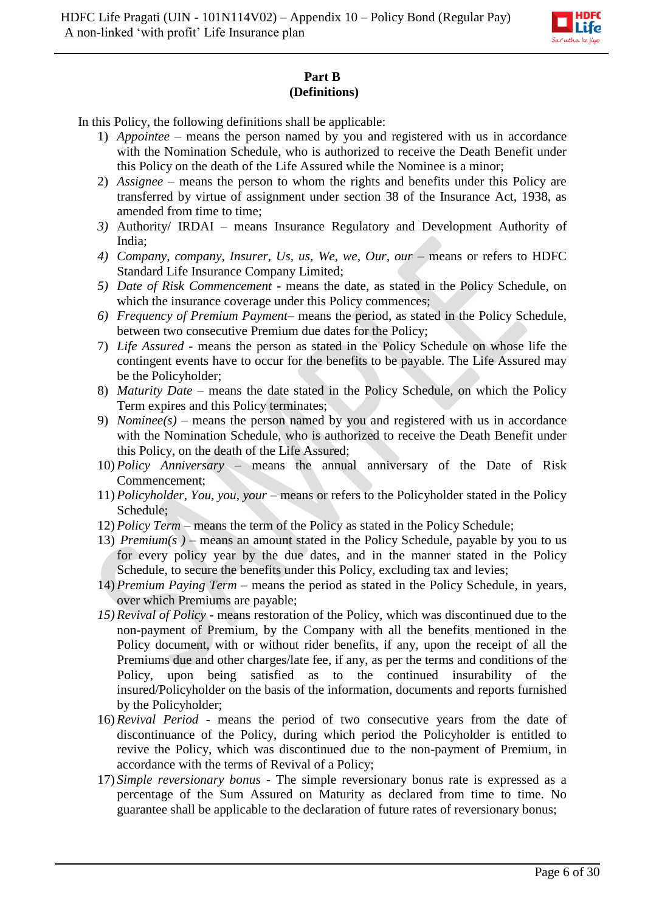

# **Part B (Definitions)**

In this Policy, the following definitions shall be applicable:

- 1) *Appointee –* means the person named by you and registered with us in accordance with the Nomination Schedule, who is authorized to receive the Death Benefit under this Policy on the death of the Life Assured while the Nominee is a minor;
- 2) *Assignee*  means the person to whom the rights and benefits under this Policy are transferred by virtue of assignment under section 38 of the Insurance Act, 1938, as amended from time to time;
- *3)* Authority/ IRDAI means Insurance Regulatory and Development Authority of India;
- 4) *Company, company, Insurer, Us, us, We, we, Our, our means or refers to HDFC* Standard Life Insurance Company Limited;
- *5) Date of Risk Commencement -* means the date, as stated in the Policy Schedule, on which the insurance coverage under this Policy commences;
- *6) Frequency of Premium Payment* means the period, as stated in the Policy Schedule, between two consecutive Premium due dates for the Policy;
- 7) *Life Assured* means the person as stated in the Policy Schedule on whose life the contingent events have to occur for the benefits to be payable. The Life Assured may be the Policyholder;
- 8) *Maturity Date* means the date stated in the Policy Schedule, on which the Policy Term expires and this Policy terminates;
- 9) *Nominee(s)* means the person named by you and registered with us in accordance with the Nomination Schedule, who is authorized to receive the Death Benefit under this Policy, on the death of the Life Assured;
- 10) *Policy Anniversary*  means the annual anniversary of the Date of Risk Commencement;
- 11) *Policyholder, You, you, your* means or refers to the Policyholder stated in the Policy Schedule;
- 12) *Policy Term –* means the term of the Policy as stated in the Policy Schedule;
- 13) *Premium(s)* means an amount stated in the Policy Schedule, payable by you to us for every policy year by the due dates, and in the manner stated in the Policy Schedule, to secure the benefits under this Policy, excluding tax and levies;
- 14) *Premium Paying Term –* means the period as stated in the Policy Schedule, in years, over which Premiums are payable;
- *15) Revival of Policy* means restoration of the Policy, which was discontinued due to the non-payment of Premium, by the Company with all the benefits mentioned in the Policy document, with or without rider benefits, if any, upon the receipt of all the Premiums due and other charges/late fee, if any, as per the terms and conditions of the Policy, upon being satisfied as to the continued insurability of the insured/Policyholder on the basis of the information, documents and reports furnished by the Policyholder;
- 16) *Revival Period*  means the period of two consecutive years from the date of discontinuance of the Policy, during which period the Policyholder is entitled to revive the Policy, which was discontinued due to the non-payment of Premium, in accordance with the terms of Revival of a Policy;
- 17) *Simple reversionary bonus -* The simple reversionary bonus rate is expressed as a percentage of the Sum Assured on Maturity as declared from time to time. No guarantee shall be applicable to the declaration of future rates of reversionary bonus;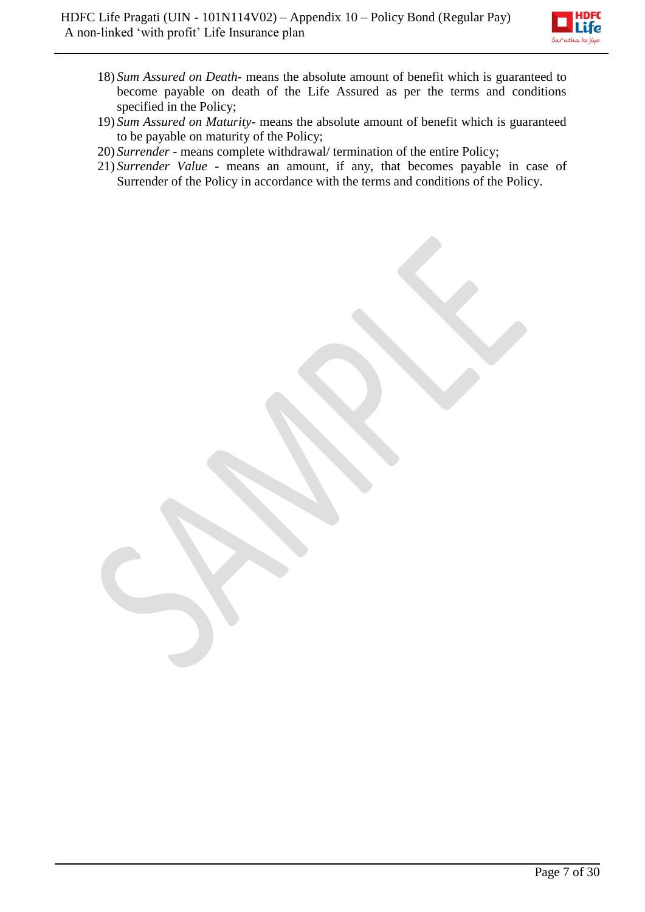

- 18) *Sum Assured on Death* means the absolute amount of benefit which is guaranteed to become payable on death of the Life Assured as per the terms and conditions specified in the Policy;
- 19) *Sum Assured on Maturity* means the absolute amount of benefit which is guaranteed to be payable on maturity of the Policy;
- 20) *Surrender* means complete withdrawal/ termination of the entire Policy;
- 21) *Surrender Value* means an amount, if any, that becomes payable in case of Surrender of the Policy in accordance with the terms and conditions of the Policy.

Page 7 of 30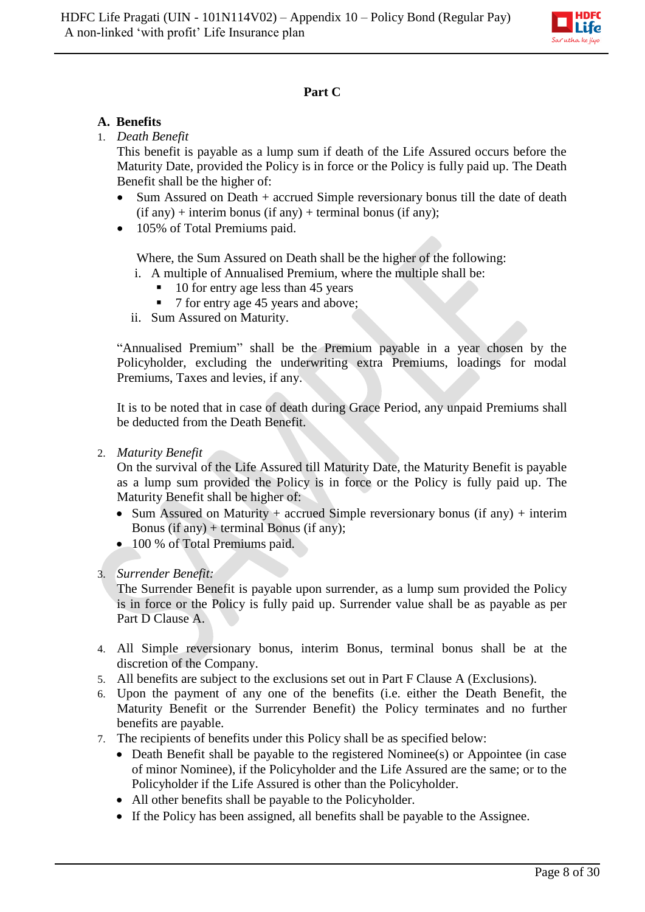

# **Part C**

# **A. Benefits**

# 1. *Death Benefit*

This benefit is payable as a lump sum if death of the Life Assured occurs before the Maturity Date, provided the Policy is in force or the Policy is fully paid up. The Death Benefit shall be the higher of:

- Sum Assured on Death + accrued Simple reversionary bonus till the date of death  $(if any) + interim bonus (if any) + terminal bonus (if any);$
- 105% of Total Premiums paid.

Where, the Sum Assured on Death shall be the higher of the following:

- i. A multiple of Annualised Premium, where the multiple shall be:
	- 10 for entry age less than 45 years
	- 7 for entry age 45 years and above:
- ii. Sum Assured on Maturity.

"Annualised Premium" shall be the Premium payable in a year chosen by the Policyholder, excluding the underwriting extra Premiums, loadings for modal Premiums, Taxes and levies, if any.

It is to be noted that in case of death during Grace Period, any unpaid Premiums shall be deducted from the Death Benefit.

2. *Maturity Benefit*

On the survival of the Life Assured till Maturity Date, the Maturity Benefit is payable as a lump sum provided the Policy is in force or the Policy is fully paid up. The Maturity Benefit shall be higher of:

- Sum Assured on Maturity + accrued Simple reversionary bonus (if any) + interim Bonus (if any) + terminal Bonus (if any);
- 100 % of Total Premiums paid.
- 3. *Surrender Benefit:*

The Surrender Benefit is payable upon surrender, as a lump sum provided the Policy is in force or the Policy is fully paid up. Surrender value shall be as payable as per Part D Clause A.

- 4. All Simple reversionary bonus, interim Bonus, terminal bonus shall be at the discretion of the Company.
- 5. All benefits are subject to the exclusions set out in Part F Clause A (Exclusions).
- 6. Upon the payment of any one of the benefits (i.e. either the Death Benefit, the Maturity Benefit or the Surrender Benefit) the Policy terminates and no further benefits are payable.
- 7. The recipients of benefits under this Policy shall be as specified below:
	- Death Benefit shall be payable to the registered Nominee(s) or Appointee (in case of minor Nominee), if the Policyholder and the Life Assured are the same; or to the Policyholder if the Life Assured is other than the Policyholder.
	- All other benefits shall be payable to the Policyholder.
	- If the Policy has been assigned, all benefits shall be payable to the Assignee.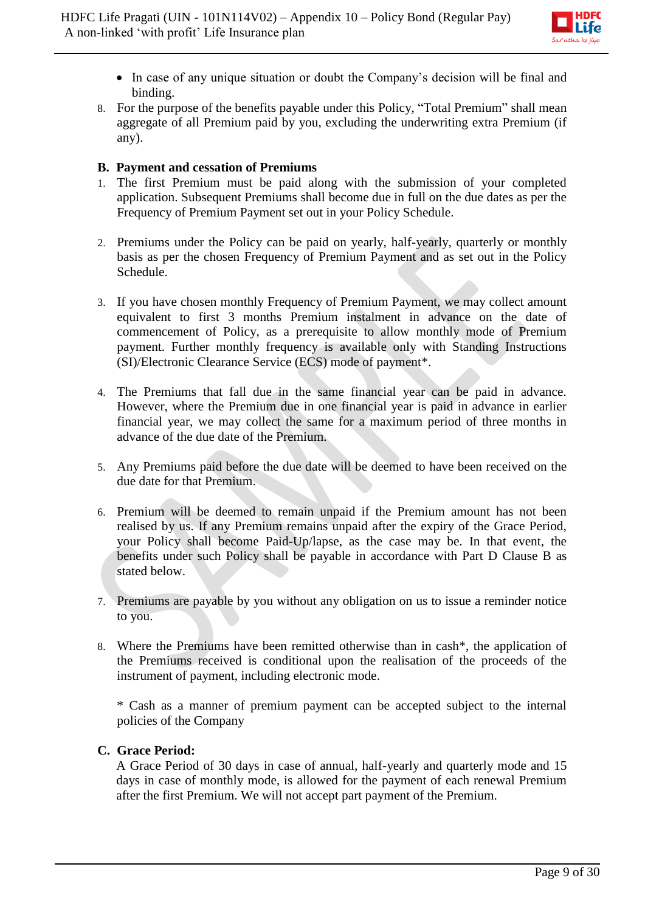

- In case of any unique situation or doubt the Company's decision will be final and binding.
- 8. For the purpose of the benefits payable under this Policy, "Total Premium" shall mean aggregate of all Premium paid by you, excluding the underwriting extra Premium (if any).

# **B. Payment and cessation of Premiums**

- 1. The first Premium must be paid along with the submission of your completed application. Subsequent Premiums shall become due in full on the due dates as per the Frequency of Premium Payment set out in your Policy Schedule.
- 2. Premiums under the Policy can be paid on yearly, half-yearly, quarterly or monthly basis as per the chosen Frequency of Premium Payment and as set out in the Policy Schedule.
- 3. If you have chosen monthly Frequency of Premium Payment, we may collect amount equivalent to first 3 months Premium instalment in advance on the date of commencement of Policy, as a prerequisite to allow monthly mode of Premium payment. Further monthly frequency is available only with Standing Instructions (SI)/Electronic Clearance Service (ECS) mode of payment\*.
- 4. The Premiums that fall due in the same financial year can be paid in advance. However, where the Premium due in one financial year is paid in advance in earlier financial year, we may collect the same for a maximum period of three months in advance of the due date of the Premium.
- 5. Any Premiums paid before the due date will be deemed to have been received on the due date for that Premium.
- 6. Premium will be deemed to remain unpaid if the Premium amount has not been realised by us. If any Premium remains unpaid after the expiry of the Grace Period, your Policy shall become Paid-Up/lapse, as the case may be. In that event, the benefits under such Policy shall be payable in accordance with Part D Clause B as stated below.
- 7. Premiums are payable by you without any obligation on us to issue a reminder notice to you.
- 8. Where the Premiums have been remitted otherwise than in cash\*, the application of the Premiums received is conditional upon the realisation of the proceeds of the instrument of payment, including electronic mode.

\* Cash as a manner of premium payment can be accepted subject to the internal policies of the Company

#### **C. Grace Period:**

A Grace Period of 30 days in case of annual, half-yearly and quarterly mode and 15 days in case of monthly mode, is allowed for the payment of each renewal Premium after the first Premium. We will not accept part payment of the Premium.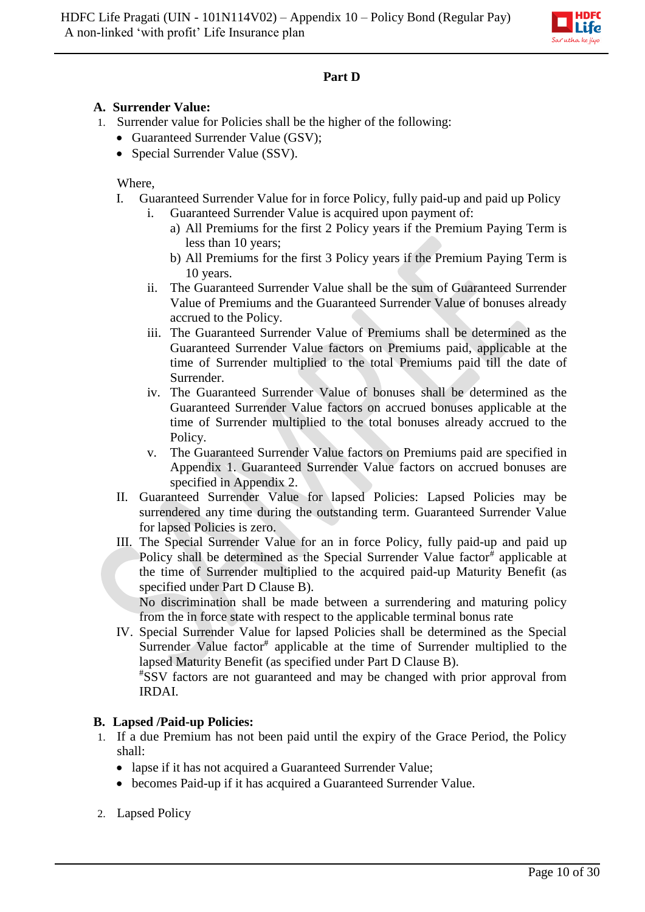

# **Part D**

# **A. Surrender Value:**

- 1. Surrender value for Policies shall be the higher of the following:
	- Guaranteed Surrender Value (GSV);
	- Special Surrender Value (SSV).

#### Where,

- I. Guaranteed Surrender Value for in force Policy, fully paid-up and paid up Policy
	- i. Guaranteed Surrender Value is acquired upon payment of:
		- a) All Premiums for the first 2 Policy years if the Premium Paying Term is less than 10 years;
		- b) All Premiums for the first 3 Policy years if the Premium Paying Term is 10 years.
	- ii. The Guaranteed Surrender Value shall be the sum of Guaranteed Surrender Value of Premiums and the Guaranteed Surrender Value of bonuses already accrued to the Policy.
	- iii. The Guaranteed Surrender Value of Premiums shall be determined as the Guaranteed Surrender Value factors on Premiums paid, applicable at the time of Surrender multiplied to the total Premiums paid till the date of Surrender.
	- iv. The Guaranteed Surrender Value of bonuses shall be determined as the Guaranteed Surrender Value factors on accrued bonuses applicable at the time of Surrender multiplied to the total bonuses already accrued to the Policy.
	- v. The Guaranteed Surrender Value factors on Premiums paid are specified in Appendix 1. Guaranteed Surrender Value factors on accrued bonuses are specified in Appendix 2.
- II. Guaranteed Surrender Value for lapsed Policies: Lapsed Policies may be surrendered any time during the outstanding term. Guaranteed Surrender Value for lapsed Policies is zero.
- III. The Special Surrender Value for an in force Policy, fully paid-up and paid up Policy shall be determined as the Special Surrender Value factor<sup>#</sup> applicable at the time of Surrender multiplied to the acquired paid-up Maturity Benefit (as specified under Part D Clause B).

No discrimination shall be made between a surrendering and maturing policy from the in force state with respect to the applicable terminal bonus rate

IV. Special Surrender Value for lapsed Policies shall be determined as the Special Surrender Value factor<sup>#</sup> applicable at the time of Surrender multiplied to the lapsed Maturity Benefit (as specified under Part D Clause B).

#SSV factors are not guaranteed and may be changed with prior approval from IRDAI.

# **B. Lapsed /Paid-up Policies:**

- 1. If a due Premium has not been paid until the expiry of the Grace Period, the Policy shall:
	- lapse if it has not acquired a Guaranteed Surrender Value;
	- becomes Paid-up if it has acquired a Guaranteed Surrender Value.
- 2. Lapsed Policy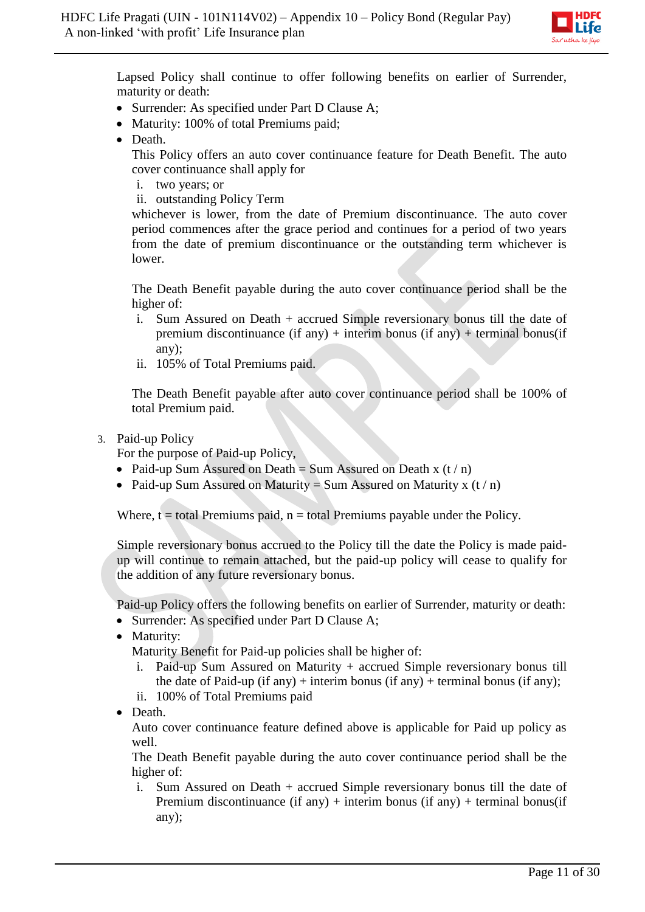

Lapsed Policy shall continue to offer following benefits on earlier of Surrender, maturity or death:

- Surrender: As specified under Part D Clause A;
- Maturity: 100% of total Premiums paid;
- Death.

This Policy offers an auto cover continuance feature for Death Benefit. The auto cover continuance shall apply for

- i. two years; or
- ii. outstanding Policy Term

whichever is lower, from the date of Premium discontinuance. The auto cover period commences after the grace period and continues for a period of two years from the date of premium discontinuance or the outstanding term whichever is lower.

The Death Benefit payable during the auto cover continuance period shall be the higher of:

- i. Sum Assured on Death + accrued Simple reversionary bonus till the date of premium discontinuance (if any) + interim bonus (if any) + terminal bonus (if any);
- ii. 105% of Total Premiums paid.

The Death Benefit payable after auto cover continuance period shall be 100% of total Premium paid.

3. Paid-up Policy

For the purpose of Paid-up Policy,

- Paid-up Sum Assured on Death = Sum Assured on Death x  $(t/n)$
- Paid-up Sum Assured on Maturity = Sum Assured on Maturity x  $(t/n)$

Where,  $t =$  total Premiums paid,  $n =$  total Premiums payable under the Policy.

Simple reversionary bonus accrued to the Policy till the date the Policy is made paidup will continue to remain attached, but the paid-up policy will cease to qualify for the addition of any future reversionary bonus.

Paid-up Policy offers the following benefits on earlier of Surrender, maturity or death:

- Surrender: As specified under Part D Clause A;
- Maturity:

Maturity Benefit for Paid-up policies shall be higher of:

- i. Paid-up Sum Assured on Maturity + accrued Simple reversionary bonus till the date of Paid-up (if any) + interim bonus (if any) + terminal bonus (if any);
- ii. 100% of Total Premiums paid
- Death.

Auto cover continuance feature defined above is applicable for Paid up policy as well.

The Death Benefit payable during the auto cover continuance period shall be the higher of:

i. Sum Assured on Death + accrued Simple reversionary bonus till the date of Premium discontinuance (if any) + interim bonus (if any) + terminal bonus (if any);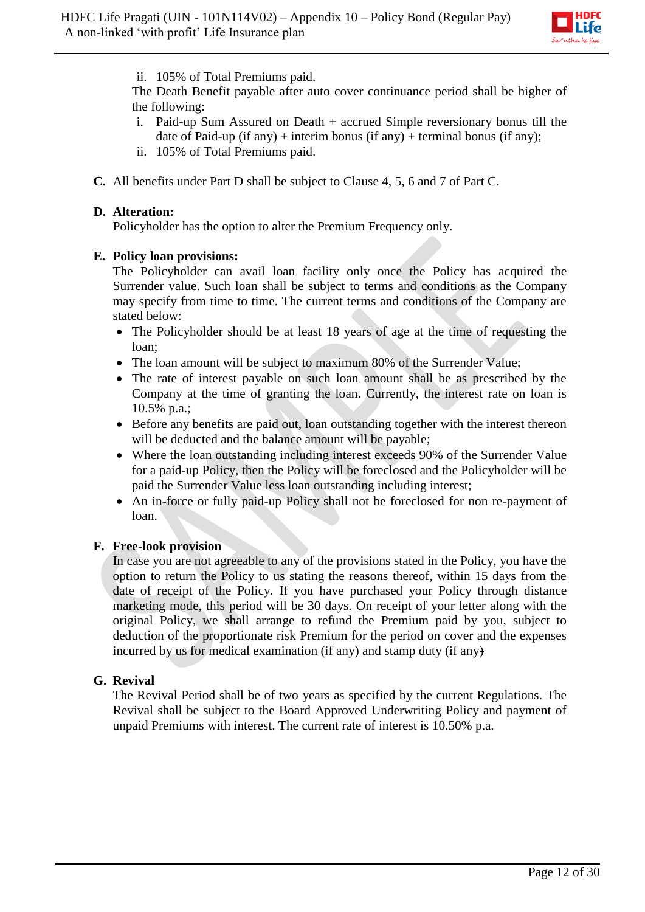

### ii. 105% of Total Premiums paid.

The Death Benefit payable after auto cover continuance period shall be higher of the following:

- i. Paid-up Sum Assured on Death + accrued Simple reversionary bonus till the date of Paid-up (if any) + interim bonus (if any) + terminal bonus (if any);
- ii. 105% of Total Premiums paid.
- **C.** All benefits under Part D shall be subject to Clause 4, 5, 6 and 7 of Part C.

### **D. Alteration:**

Policyholder has the option to alter the Premium Frequency only.

### **E. Policy loan provisions:**

The Policyholder can avail loan facility only once the Policy has acquired the Surrender value. Such loan shall be subject to terms and conditions as the Company may specify from time to time. The current terms and conditions of the Company are stated below:

- The Policyholder should be at least 18 years of age at the time of requesting the loan;
- The loan amount will be subject to maximum 80% of the Surrender Value;
- The rate of interest payable on such loan amount shall be as prescribed by the Company at the time of granting the loan. Currently, the interest rate on loan is 10.5% p.a.;
- Before any benefits are paid out, loan outstanding together with the interest thereon will be deducted and the balance amount will be payable;
- Where the loan outstanding including interest exceeds 90% of the Surrender Value for a paid-up Policy, then the Policy will be foreclosed and the Policyholder will be paid the Surrender Value less loan outstanding including interest;
- An in-force or fully paid-up Policy shall not be foreclosed for non re-payment of loan.

# **F. Free-look provision**

In case you are not agreeable to any of the provisions stated in the Policy, you have the option to return the Policy to us stating the reasons thereof, within 15 days from the date of receipt of the Policy. If you have purchased your Policy through distance marketing mode, this period will be 30 days. On receipt of your letter along with the original Policy, we shall arrange to refund the Premium paid by you, subject to deduction of the proportionate risk Premium for the period on cover and the expenses incurred by us for medical examination (if any) and stamp duty (if any)

# **G. Revival**

The Revival Period shall be of two years as specified by the current Regulations. The Revival shall be subject to the Board Approved Underwriting Policy and payment of unpaid Premiums with interest. The current rate of interest is 10.50% p.a.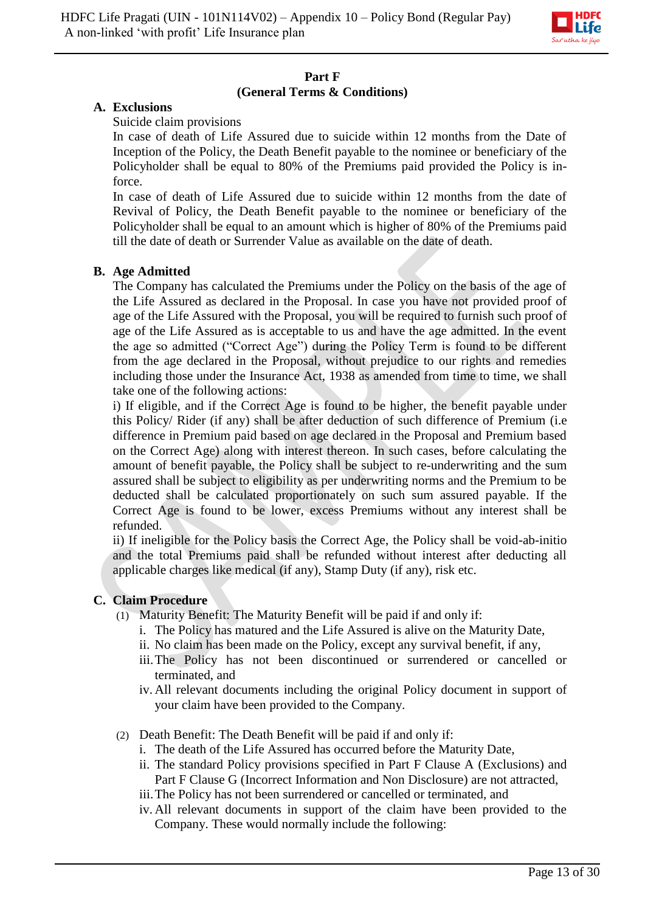

# **Part F (General Terms & Conditions)**

### **A. Exclusions**

Suicide claim provisions

In case of death of Life Assured due to suicide within 12 months from the Date of Inception of the Policy, the Death Benefit payable to the nominee or beneficiary of the Policyholder shall be equal to 80% of the Premiums paid provided the Policy is inforce.

In case of death of Life Assured due to suicide within 12 months from the date of Revival of Policy, the Death Benefit payable to the nominee or beneficiary of the Policyholder shall be equal to an amount which is higher of 80% of the Premiums paid till the date of death or Surrender Value as available on the date of death.

# **B. Age Admitted**

The Company has calculated the Premiums under the Policy on the basis of the age of the Life Assured as declared in the Proposal. In case you have not provided proof of age of the Life Assured with the Proposal, you will be required to furnish such proof of age of the Life Assured as is acceptable to us and have the age admitted. In the event the age so admitted ("Correct Age") during the Policy Term is found to be different from the age declared in the Proposal, without prejudice to our rights and remedies including those under the Insurance Act, 1938 as amended from time to time, we shall take one of the following actions:

i) If eligible, and if the Correct Age is found to be higher, the benefit payable under this Policy/ Rider (if any) shall be after deduction of such difference of Premium (i.e difference in Premium paid based on age declared in the Proposal and Premium based on the Correct Age) along with interest thereon. In such cases, before calculating the amount of benefit payable, the Policy shall be subject to re-underwriting and the sum assured shall be subject to eligibility as per underwriting norms and the Premium to be deducted shall be calculated proportionately on such sum assured payable. If the Correct Age is found to be lower, excess Premiums without any interest shall be refunded.

ii) If ineligible for the Policy basis the Correct Age, the Policy shall be void-ab-initio and the total Premiums paid shall be refunded without interest after deducting all applicable charges like medical (if any), Stamp Duty (if any), risk etc.

# **C. Claim Procedure**

- (1) Maturity Benefit: The Maturity Benefit will be paid if and only if:
	- i. The Policy has matured and the Life Assured is alive on the Maturity Date,
	- ii. No claim has been made on the Policy, except any survival benefit, if any,
	- iii.The Policy has not been discontinued or surrendered or cancelled or terminated, and
	- iv. All relevant documents including the original Policy document in support of your claim have been provided to the Company.
- (2) Death Benefit: The Death Benefit will be paid if and only if:
	- i. The death of the Life Assured has occurred before the Maturity Date,
	- ii. The standard Policy provisions specified in Part F Clause A (Exclusions) and Part F Clause G (Incorrect Information and Non Disclosure) are not attracted,
	- iii.The Policy has not been surrendered or cancelled or terminated, and
	- iv. All relevant documents in support of the claim have been provided to the Company. These would normally include the following: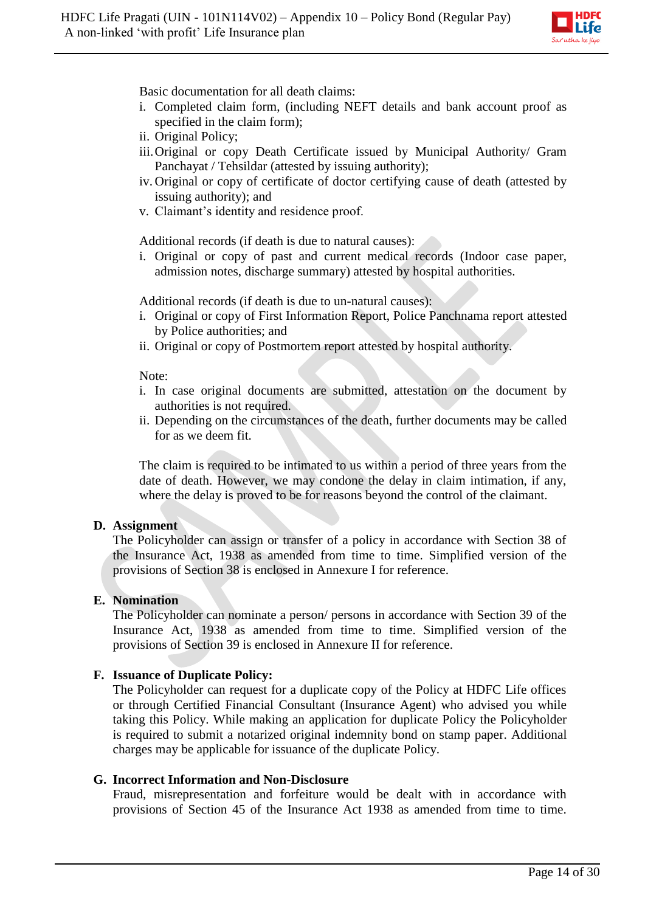

Basic documentation for all death claims:

- i. Completed claim form, (including NEFT details and bank account proof as specified in the claim form);
- ii. Original Policy;
- iii.Original or copy Death Certificate issued by Municipal Authority/ Gram Panchayat / Tehsildar (attested by issuing authority);
- iv. Original or copy of certificate of doctor certifying cause of death (attested by issuing authority); and
- v. Claimant's identity and residence proof.

Additional records (if death is due to natural causes):

i. Original or copy of past and current medical records (Indoor case paper, admission notes, discharge summary) attested by hospital authorities.

Additional records (if death is due to un-natural causes):

- i. Original or copy of First Information Report, Police Panchnama report attested by Police authorities; and
- ii. Original or copy of Postmortem report attested by hospital authority.

#### Note:

- i. In case original documents are submitted, attestation on the document by authorities is not required.
- ii. Depending on the circumstances of the death, further documents may be called for as we deem fit.

The claim is required to be intimated to us within a period of three years from the date of death. However, we may condone the delay in claim intimation, if any, where the delay is proved to be for reasons beyond the control of the claimant.

#### **D. Assignment**

The Policyholder can assign or transfer of a policy in accordance with Section 38 of the Insurance Act, 1938 as amended from time to time. Simplified version of the provisions of Section 38 is enclosed in Annexure I for reference.

#### **E. Nomination**

The Policyholder can nominate a person/ persons in accordance with Section 39 of the Insurance Act, 1938 as amended from time to time. Simplified version of the provisions of Section 39 is enclosed in Annexure II for reference.

# **F. Issuance of Duplicate Policy:**

The Policyholder can request for a duplicate copy of the Policy at HDFC Life offices or through Certified Financial Consultant (Insurance Agent) who advised you while taking this Policy. While making an application for duplicate Policy the Policyholder is required to submit a notarized original indemnity bond on stamp paper. Additional charges may be applicable for issuance of the duplicate Policy.

### **G. Incorrect Information and Non-Disclosure**

Fraud, misrepresentation and forfeiture would be dealt with in accordance with provisions of Section 45 of the Insurance Act 1938 as amended from time to time.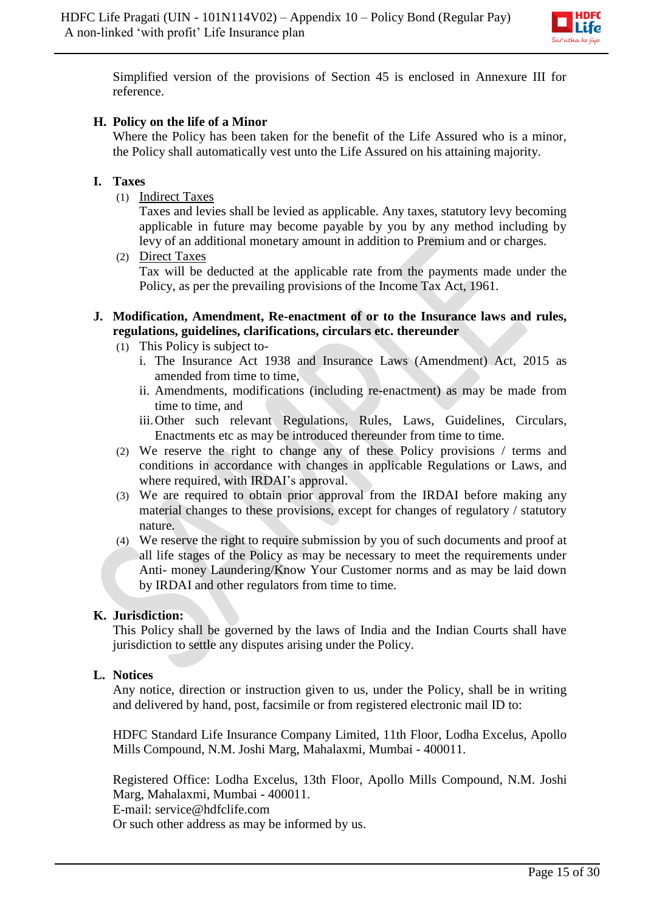

Simplified version of the provisions of Section 45 is enclosed in Annexure III for reference.

# **H. Policy on the life of a Minor**

Where the Policy has been taken for the benefit of the Life Assured who is a minor, the Policy shall automatically vest unto the Life Assured on his attaining majority.

# **I. Taxes**

(1) Indirect Taxes

Taxes and levies shall be levied as applicable. Any taxes, statutory levy becoming applicable in future may become payable by you by any method including by levy of an additional monetary amount in addition to Premium and or charges.

(2) Direct Taxes Tax will be deducted at the applicable rate from the payments made under the Policy, as per the prevailing provisions of the Income Tax Act, 1961.

### **J. Modification, Amendment, Re-enactment of or to the Insurance laws and rules, regulations, guidelines, clarifications, circulars etc. thereunder**

- (1) This Policy is subject to
	- i. The Insurance Act 1938 and Insurance Laws (Amendment) Act, 2015 as amended from time to time,
	- ii. Amendments, modifications (including re-enactment) as may be made from time to time, and
	- iii.Other such relevant Regulations, Rules, Laws, Guidelines, Circulars, Enactments etc as may be introduced thereunder from time to time.
- (2) We reserve the right to change any of these Policy provisions / terms and conditions in accordance with changes in applicable Regulations or Laws, and where required, with IRDAI's approval.
- (3) We are required to obtain prior approval from the IRDAI before making any material changes to these provisions, except for changes of regulatory / statutory nature.
- (4) We reserve the right to require submission by you of such documents and proof at all life stages of the Policy as may be necessary to meet the requirements under Anti- money Laundering/Know Your Customer norms and as may be laid down by IRDAI and other regulators from time to time.

# **K. Jurisdiction:**

This Policy shall be governed by the laws of India and the Indian Courts shall have jurisdiction to settle any disputes arising under the Policy.

# **L. Notices**

Any notice, direction or instruction given to us, under the Policy, shall be in writing and delivered by hand, post, facsimile or from registered electronic mail ID to:

HDFC Standard Life Insurance Company Limited, 11th Floor, Lodha Excelus, Apollo Mills Compound, N.M. Joshi Marg, Mahalaxmi, Mumbai - 400011.

Registered Office: Lodha Excelus, 13th Floor, Apollo Mills Compound, N.M. Joshi Marg, Mahalaxmi, Mumbai - 400011.

E-mail: service@hdfclife.com

Or such other address as may be informed by us.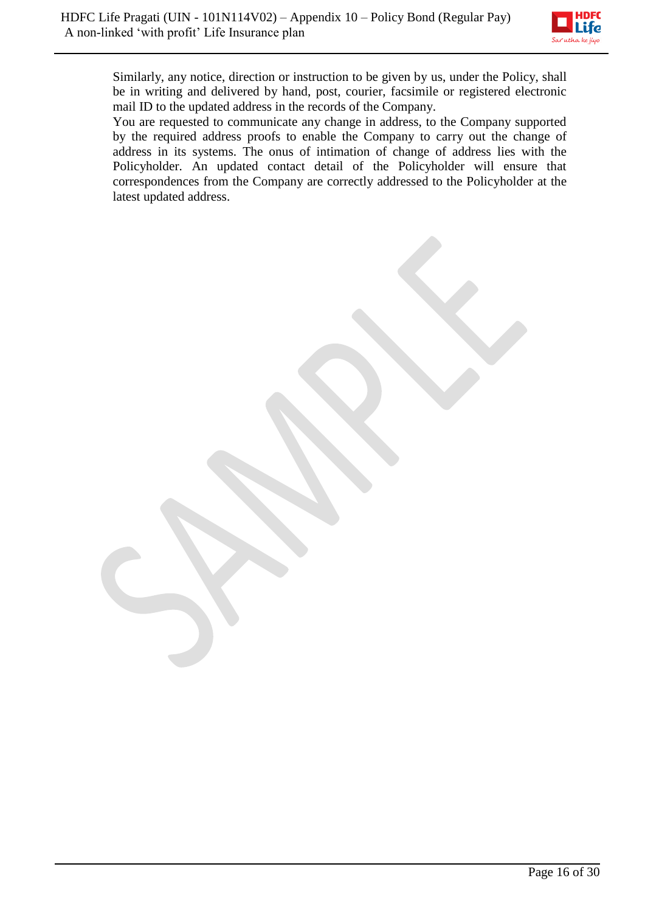

Similarly, any notice, direction or instruction to be given by us, under the Policy, shall be in writing and delivered by hand, post, courier, facsimile or registered electronic mail ID to the updated address in the records of the Company.

You are requested to communicate any change in address, to the Company supported by the required address proofs to enable the Company to carry out the change of address in its systems. The onus of intimation of change of address lies with the Policyholder. An updated contact detail of the Policyholder will ensure that correspondences from the Company are correctly addressed to the Policyholder at the latest updated address.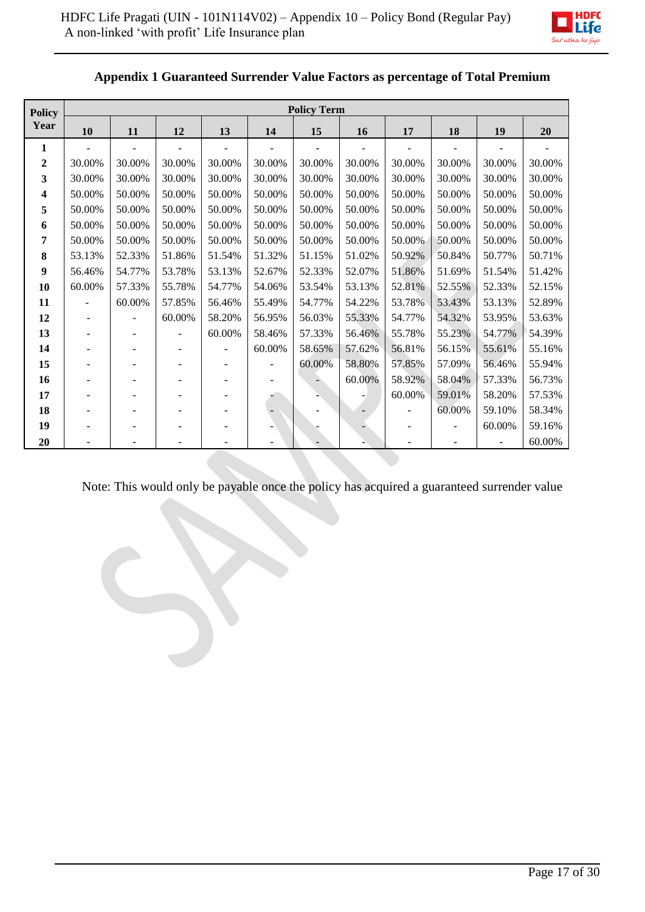

| <b>Policy</b> | <b>Policy Term</b> |                          |                          |        |        |        |        |        |        |        |        |
|---------------|--------------------|--------------------------|--------------------------|--------|--------|--------|--------|--------|--------|--------|--------|
| Year          | 10                 | 11                       | 12                       | 13     | 14     | 15     | 16     | 17     | 18     | 19     | 20     |
| 1             |                    |                          |                          |        |        |        |        |        |        |        |        |
| $\mathbf 2$   | 30.00%             | 30.00%                   | 30.00%                   | 30.00% | 30.00% | 30.00% | 30.00% | 30.00% | 30.00% | 30.00% | 30.00% |
| 3             | 30.00%             | 30.00%                   | 30.00%                   | 30.00% | 30.00% | 30.00% | 30.00% | 30.00% | 30.00% | 30.00% | 30.00% |
| 4             | 50.00%             | 50.00%                   | 50.00%                   | 50.00% | 50.00% | 50.00% | 50.00% | 50.00% | 50.00% | 50.00% | 50.00% |
| 5             | 50.00%             | 50.00%                   | 50.00%                   | 50.00% | 50.00% | 50.00% | 50.00% | 50.00% | 50.00% | 50.00% | 50.00% |
| 6             | 50.00%             | 50.00%                   | 50.00%                   | 50.00% | 50.00% | 50.00% | 50.00% | 50.00% | 50.00% | 50.00% | 50.00% |
| 7             | 50.00%             | 50.00%                   | 50.00%                   | 50.00% | 50.00% | 50.00% | 50.00% | 50.00% | 50.00% | 50.00% | 50.00% |
| 8             | 53.13%             | 52.33%                   | 51.86%                   | 51.54% | 51.32% | 51.15% | 51.02% | 50.92% | 50.84% | 50.77% | 50.71% |
| 9             | 56.46%             | 54.77%                   | 53.78%                   | 53.13% | 52.67% | 52.33% | 52.07% | 51.86% | 51.69% | 51.54% | 51.42% |
| 10            | 60.00%             | 57.33%                   | 55.78%                   | 54.77% | 54.06% | 53.54% | 53.13% | 52.81% | 52.55% | 52.33% | 52.15% |
| 11            |                    | 60.00%                   | 57.85%                   | 56.46% | 55.49% | 54.77% | 54.22% | 53.78% | 53.43% | 53.13% | 52.89% |
| 12            |                    | $\overline{\phantom{a}}$ | 60.00%                   | 58.20% | 56.95% | 56.03% | 55.33% | 54.77% | 54.32% | 53.95% | 53.63% |
| 13            | ۰                  | $\overline{\phantom{a}}$ | $\overline{\phantom{a}}$ | 60.00% | 58.46% | 57.33% | 56.46% | 55.78% | 55.23% | 54.77% | 54.39% |
| 14            |                    |                          | ٠                        | ۰      | 60.00% | 58.65% | 57.62% | 56.81% | 56.15% | 55.61% | 55.16% |
| 15            |                    |                          | ÷,                       |        |        | 60.00% | 58.80% | 57.85% | 57.09% | 56.46% | 55.94% |
| 16            |                    |                          |                          |        |        |        | 60.00% | 58.92% | 58.04% | 57.33% | 56.73% |
| 17            |                    |                          |                          |        |        |        |        | 60.00% | 59.01% | 58.20% | 57.53% |
| 18            |                    |                          |                          |        |        |        |        |        | 60.00% | 59.10% | 58.34% |
| 19            |                    |                          |                          |        |        |        |        |        |        | 60.00% | 59.16% |
| 20            |                    |                          |                          |        |        |        |        |        |        |        | 60.00% |

# **Appendix 1 Guaranteed Surrender Value Factors as percentage of Total Premium**

Note: This would only be payable once the policy has acquired a guaranteed surrender value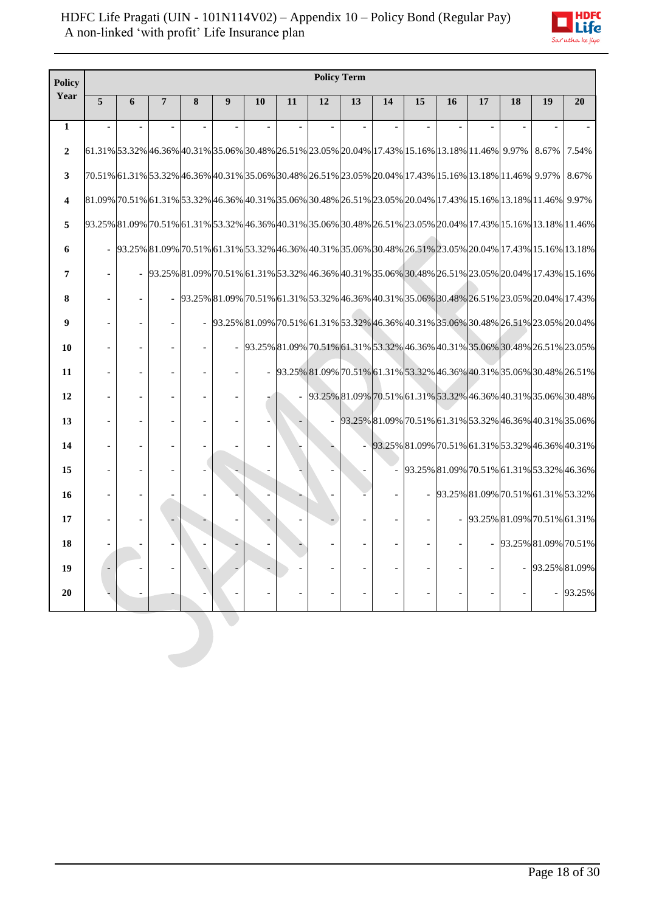

| <b>Policy</b>  |   | <b>Policy Term</b>       |                |   |   |    |    |    |    |                                                                                                  |    |    |    |                                                                                                                                                                                                                                                                                                                                         |       |               |
|----------------|---|--------------------------|----------------|---|---|----|----|----|----|--------------------------------------------------------------------------------------------------|----|----|----|-----------------------------------------------------------------------------------------------------------------------------------------------------------------------------------------------------------------------------------------------------------------------------------------------------------------------------------------|-------|---------------|
| Year           | 5 | 6                        | $\overline{7}$ | 8 | 9 | 10 | 11 | 12 | 13 | 14                                                                                               | 15 | 16 | 17 | 18                                                                                                                                                                                                                                                                                                                                      | 19    | 20            |
| $\mathbf{1}$   |   |                          |                |   |   |    |    |    |    |                                                                                                  |    |    |    |                                                                                                                                                                                                                                                                                                                                         |       |               |
| $\overline{2}$ |   |                          |                |   |   |    |    |    |    | 61.31% 53.32% 46.36% 40.31% 53.06% 30.48% 26.51% 23.05% 20.04% 17.43% 15.16% 13.18% 11.46% 9.97% |    |    |    |                                                                                                                                                                                                                                                                                                                                         | 8.67% | 7.54%         |
| 3              |   |                          |                |   |   |    |    |    |    |                                                                                                  |    |    |    | 70.51% 61.31% 53.32% 46.36% 40.31% 35.06% 30.48% 26.51% 23.05% 20.04% 17.43% 15.16% 13.18% 11.46%  9.97%                                                                                                                                                                                                                                |       | 8.67%         |
| 4              |   |                          |                |   |   |    |    |    |    |                                                                                                  |    |    |    | 81.09% 70.51% 61.31% 53.32% 46.36% 40.31% 35.06% 30.48% 26.51% 23.05% 20.04% 17.43% 15.16% 13.18% 11.46%  9.97%                                                                                                                                                                                                                         |       |               |
| 5              |   |                          |                |   |   |    |    |    |    |                                                                                                  |    |    |    | 93.25% 81.09% 70.51% 61.31% 53.32% 46.36% 40.31% 35.06% 30.48% 26.51% 23.05% 20.04% 17.43% 15.16% 13.18% 11.46%                                                                                                                                                                                                                         |       |               |
| 6              |   |                          |                |   |   |    |    |    |    |                                                                                                  |    |    |    | $-$ $93.25\% \boxed{81.09\% \boxed{70.51\% \boxed{61.31\% \boxed{53.32\% \boxed{46.36\% \boxed{40.31\% \boxed{35.06\% \boxed{30.48\% \boxed{26.51\% \boxed{23.05\% \boxed{20.04\% \boxed{17.43\% \boxed{15.16\% \boxed{13.18\% \boxed{15.16\% \boxed{13.18\% \boxed{15.16\% \boxed{13.18\% \boxed{15.16\% \boxed{13.18\% \boxed{15.16\$ |       |               |
| 7              |   |                          |                |   |   |    |    |    |    |                                                                                                  |    |    |    | 93.25% 81.09% 70.51% 61.31% 53.32% 46.36% 40.31% 35.06% 30.48% 26.51% 23.05% 20.04% 17.43% 15.16%                                                                                                                                                                                                                                       |       |               |
| 8              |   |                          |                |   |   |    |    |    |    |                                                                                                  |    |    |    | 93.25% 81.09% 70.51% 61.31% 53.32% 46.36% 40.31% 35.06% 30.48% 26.51% 23.05% 20.04% 17.43%                                                                                                                                                                                                                                              |       |               |
| 9              |   |                          |                |   |   |    |    |    |    |                                                                                                  |    |    |    | 93.25% 81.09% 70.51% 61.31% 53.32% 46.36% 40.31% 35.06% 30.48% 26.51% 23.05% 20.04%                                                                                                                                                                                                                                                     |       |               |
| 10             |   |                          |                |   |   |    |    |    |    |                                                                                                  |    |    |    | 93.25% 81.09% 70.51% 61.31% 53.32% 46.36% 40.31% 35.06% 30.48% 26.51% 23.05%                                                                                                                                                                                                                                                            |       |               |
| 11             |   | $\overline{a}$           |                |   |   |    |    |    |    |                                                                                                  |    |    |    | 93.25% 81.09% 70.51% 61.31% 53.32% 46.36% 40.31% 35.06% 30.48% 26.51%                                                                                                                                                                                                                                                                   |       |               |
| 12             |   |                          |                |   |   |    |    |    |    |                                                                                                  |    |    |    | 93.25% 81.09% 70.51% 61.31% 53.32% 46.36% 40.31% 35.06% 30.48%                                                                                                                                                                                                                                                                          |       |               |
| 13             |   |                          |                |   |   |    |    |    |    |                                                                                                  |    |    |    | 93.25% 81.09% 70.51% 61.31% 53.32% 46.36% 40.31% 35.06%                                                                                                                                                                                                                                                                                 |       |               |
| 14             |   | $\overline{\phantom{a}}$ |                |   |   |    |    |    |    |                                                                                                  |    |    |    | 93.25% 81.09% 70.51% 61.31% 53.32% 46.36% 40.31%                                                                                                                                                                                                                                                                                        |       |               |
| 15             |   |                          |                |   |   |    |    |    |    |                                                                                                  |    |    |    | 93.25% 81.09% 70.51% 61.31% 53.32% 46.36%                                                                                                                                                                                                                                                                                               |       |               |
| 16             |   |                          |                |   |   |    |    |    |    |                                                                                                  |    |    |    | 93.25% 81.09% 70.51% 61.31% 53.32%                                                                                                                                                                                                                                                                                                      |       |               |
| 17             |   |                          |                |   |   |    |    |    |    |                                                                                                  |    |    |    | $-$ 93.25% 81.09% 70.51% 61.31%                                                                                                                                                                                                                                                                                                         |       |               |
| 18             |   |                          |                |   |   |    |    |    |    |                                                                                                  |    |    |    | 93.25% 81.09% 70.51%                                                                                                                                                                                                                                                                                                                    |       |               |
| 19             |   |                          |                |   |   |    |    |    |    |                                                                                                  |    |    |    |                                                                                                                                                                                                                                                                                                                                         |       | 93.25% 81.09% |
| 20             |   |                          |                |   |   |    |    |    |    |                                                                                                  |    |    |    |                                                                                                                                                                                                                                                                                                                                         |       | 93.25%        |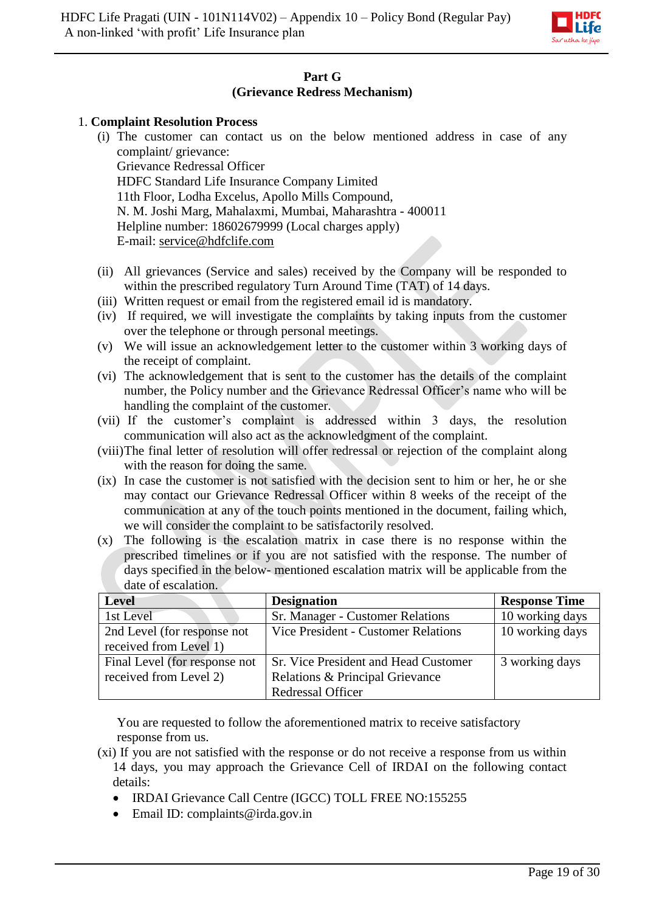

# **Part G (Grievance Redress Mechanism)**

### 1. **Complaint Resolution Process**

- (i) The customer can contact us on the below mentioned address in case of any complaint/ grievance: Grievance Redressal Officer HDFC Standard Life Insurance Company Limited 11th Floor, Lodha Excelus, Apollo Mills Compound, N. M. Joshi Marg, Mahalaxmi, Mumbai, Maharashtra - 400011 Helpline number: 18602679999 (Local charges apply) E-mail: [service@hdfclife.com](mailto:service@hdfclife.com)
- (ii) All grievances (Service and sales) received by the Company will be responded to within the prescribed regulatory Turn Around Time (TAT) of 14 days.
- (iii) Written request or email from the registered email id is mandatory.
- (iv) If required, we will investigate the complaints by taking inputs from the customer over the telephone or through personal meetings.
- (v) We will issue an acknowledgement letter to the customer within 3 working days of the receipt of complaint.
- (vi) The acknowledgement that is sent to the customer has the details of the complaint number, the Policy number and the Grievance Redressal Officer's name who will be handling the complaint of the customer.
- (vii) If the customer's complaint is addressed within 3 days, the resolution communication will also act as the acknowledgment of the complaint.
- (viii)The final letter of resolution will offer redressal or rejection of the complaint along with the reason for doing the same.
- (ix) In case the customer is not satisfied with the decision sent to him or her, he or she may contact our Grievance Redressal Officer within 8 weeks of the receipt of the communication at any of the touch points mentioned in the document, failing which, we will consider the complaint to be satisfactorily resolved.
- (x) The following is the escalation matrix in case there is no response within the prescribed timelines or if you are not satisfied with the response. The number of days specified in the below- mentioned escalation matrix will be applicable from the date of escalation.

| <b>Level</b>                  | <b>Designation</b>                          | <b>Response Time</b> |
|-------------------------------|---------------------------------------------|----------------------|
| 1st Level                     | Sr. Manager - Customer Relations            | 10 working days      |
| 2nd Level (for response not   | Vice President - Customer Relations         | 10 working days      |
| received from Level 1)        |                                             |                      |
| Final Level (for response not | <b>Sr. Vice President and Head Customer</b> | 3 working days       |
| received from Level 2)        | Relations & Principal Grievance             |                      |
|                               | Redressal Officer                           |                      |

You are requested to follow the aforementioned matrix to receive satisfactory response from us.

- (xi) If you are not satisfied with the response or do not receive a response from us within 14 days, you may approach the Grievance Cell of IRDAI on the following contact details:
	- IRDAI Grievance Call Centre (IGCC) TOLL FREE NO:155255
	- $\bullet$  Email ID: complaints@irda.gov.in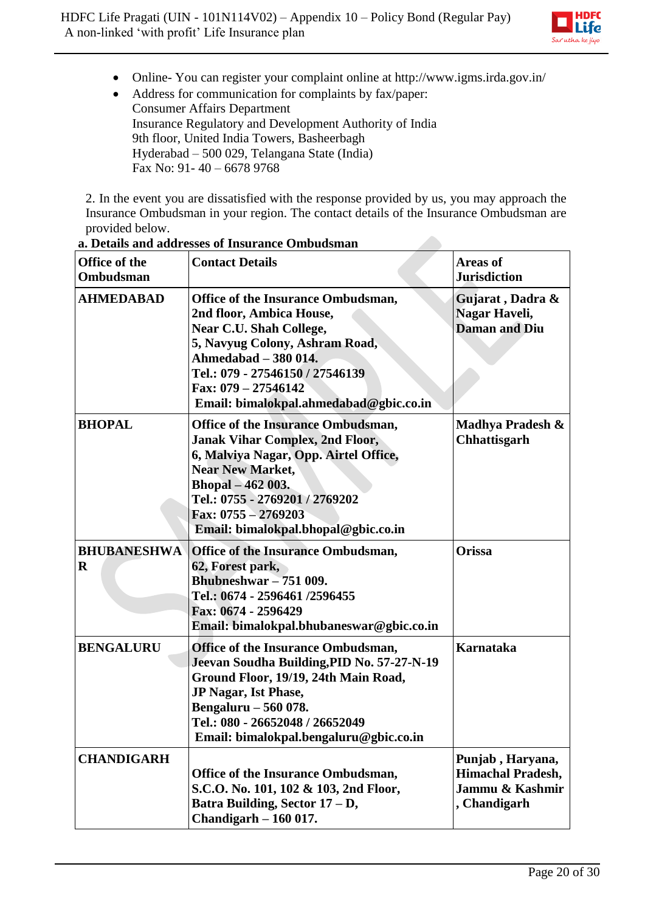

- Online- You can register your complaint online at http://www.igms.irda.gov.in/
- Address for communication for complaints by fax/paper: Consumer Affairs Department Insurance Regulatory and Development Authority of India 9th floor, United India Towers, Basheerbagh Hyderabad – 500 029, Telangana State (India) Fax No: 91- 40 – 6678 9768

2. In the event you are dissatisfied with the response provided by us, you may approach the Insurance Ombudsman in your region. The contact details of the Insurance Ombudsman are provided below.

| Office of the<br><b>Ombudsman</b> | <b>Contact Details</b>                                                                                                                                                                                                                                                         | <b>Areas of</b><br><b>Jurisdiction</b>                                          |
|-----------------------------------|--------------------------------------------------------------------------------------------------------------------------------------------------------------------------------------------------------------------------------------------------------------------------------|---------------------------------------------------------------------------------|
| <b>AHMEDABAD</b>                  | Office of the Insurance Ombudsman,<br>2nd floor, Ambica House,<br>Near C.U. Shah College,<br>5, Navyug Colony, Ashram Road,<br>Ahmedabad - 380 014.<br>Tel.: 079 - 27546150 / 27546139<br>Fax: $079 - 27546142$<br>Email: bimalokpal.ahmedabad@gbic.co.in                      | Gujarat, Dadra &<br>Nagar Haveli,<br><b>Daman and Diu</b>                       |
| <b>BHOPAL</b>                     | <b>Office of the Insurance Ombudsman,</b><br><b>Janak Vihar Complex, 2nd Floor,</b><br>6, Malviya Nagar, Opp. Airtel Office,<br><b>Near New Market,</b><br>Bhopal - 462 003.<br>Tel.: 0755 - 2769201 / 2769202<br>Fax: $0755 - 2769203$<br>Email: bimalokpal.bhopal@gbic.co.in | Madhya Pradesh &<br><b>Chhattisgarh</b>                                         |
| <b>BHUBANESHWA</b><br>$\bf{R}$    | Office of the Insurance Ombudsman,<br>62, Forest park,<br><b>Bhubneshwar</b> - 751 009.<br>Tel.: 0674 - 2596461/2596455<br>Fax: 0674 - 2596429<br>Email: bimalokpal.bhubaneswar@gbic.co.in                                                                                     | <b>Orissa</b>                                                                   |
| <b>BENGALURU</b>                  | <b>Office of the Insurance Ombudsman,</b><br>Jeevan Soudha Building, PID No. 57-27-N-19<br>Ground Floor, 19/19, 24th Main Road,<br>JP Nagar, Ist Phase,<br>Bengaluru - 560 078.<br>Tel.: 080 - 26652048 / 26652049<br>Email: bimalokpal.bengaluru@gbic.co.in                   | <b>Karnataka</b>                                                                |
| <b>CHANDIGARH</b>                 | Office of the Insurance Ombudsman,<br>S.C.O. No. 101, 102 & 103, 2nd Floor,<br>Batra Building, Sector 17 - D,<br>Chandigarh $-160017$ .                                                                                                                                        | Punjab, Haryana,<br><b>Himachal Pradesh,</b><br>Jammu & Kashmir<br>, Chandigarh |

**a. Details and addresses of Insurance Ombudsman**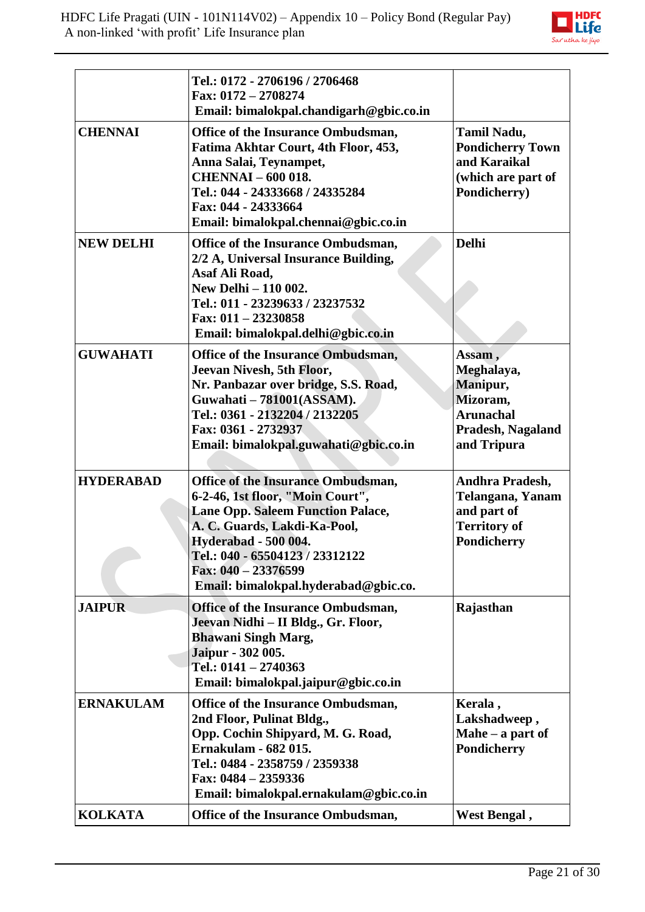

|                  | Tel.: 0172 - 2706196 / 2706468<br>Fax: 0172 - 2708274<br>Email: bimalokpal.chandigarh@gbic.co.in                                                                                                                                                                                           |                                                                                                      |
|------------------|--------------------------------------------------------------------------------------------------------------------------------------------------------------------------------------------------------------------------------------------------------------------------------------------|------------------------------------------------------------------------------------------------------|
| <b>CHENNAI</b>   | Office of the Insurance Ombudsman,<br>Fatima Akhtar Court, 4th Floor, 453,<br>Anna Salai, Teynampet,<br><b>CHENNAI - 600 018.</b><br>Tel.: 044 - 24333668 / 24335284<br>Fax: 044 - 24333664<br>Email: bimalokpal.chennai@gbic.co.in                                                        | Tamil Nadu,<br><b>Pondicherry Town</b><br>and Karaikal<br>(which are part of<br>Pondicherry)         |
| <b>NEW DELHI</b> | Office of the Insurance Ombudsman,<br>2/2 A, Universal Insurance Building,<br>Asaf Ali Road,<br>New Delhi - 110 002.<br>Tel.: 011 - 23239633 / 23237532<br>Fax: $011 - 23230858$<br>Email: bimalokpal.delhi@gbic.co.in                                                                     | <b>Delhi</b>                                                                                         |
| <b>GUWAHATI</b>  | <b>Office of the Insurance Ombudsman,</b><br>Jeevan Nivesh, 5th Floor,<br>Nr. Panbazar over bridge, S.S. Road,<br>Guwahati - 781001(ASSAM).<br>Tel.: 0361 - 2132204 / 2132205<br>Fax: 0361 - 2732937<br>Email: bimalokpal.guwahati@gbic.co.in                                              | Assam,<br>Meghalaya,<br>Manipur,<br>Mizoram,<br><b>Arunachal</b><br>Pradesh, Nagaland<br>and Tripura |
| <b>HYDERABAD</b> | <b>Office of the Insurance Ombudsman,</b><br>6-2-46, 1st floor, "Moin Court",<br><b>Lane Opp. Saleem Function Palace,</b><br>A. C. Guards, Lakdi-Ka-Pool,<br><b>Hyderabad - 500 004.</b><br>Tel.: 040 - 65504123 / 23312122<br>Fax: 040 - 23376599<br>Email: bimalokpal.hyderabad@gbic.co. | Andhra Pradesh,<br>Telangana, Yanam<br>and part of<br><b>Territory of</b><br>Pondicherry             |
| <b>JAIPUR</b>    | <b>Office of the Insurance Ombudsman,</b><br>Jeevan Nidhi - II Bldg., Gr. Floor,<br><b>Bhawani Singh Marg,</b><br>Jaipur - 302 005.<br>Tel.: $0141 - 2740363$<br>Email: bimalokpal.jaipur@gbic.co.in                                                                                       | Rajasthan                                                                                            |
| <b>ERNAKULAM</b> | Office of the Insurance Ombudsman,<br>2nd Floor, Pulinat Bldg.,<br>Opp. Cochin Shipyard, M. G. Road,<br><b>Ernakulam - 682 015.</b><br>Tel.: 0484 - 2358759 / 2359338<br>Fax: 0484 - 2359336<br>Email: bimalokpal.ernakulam@gbic.co.in                                                     | Kerala,<br>Lakshadweep,<br>Mahe $-$ a part of<br>Pondicherry                                         |
| <b>KOLKATA</b>   | Office of the Insurance Ombudsman,                                                                                                                                                                                                                                                         | West Bengal,                                                                                         |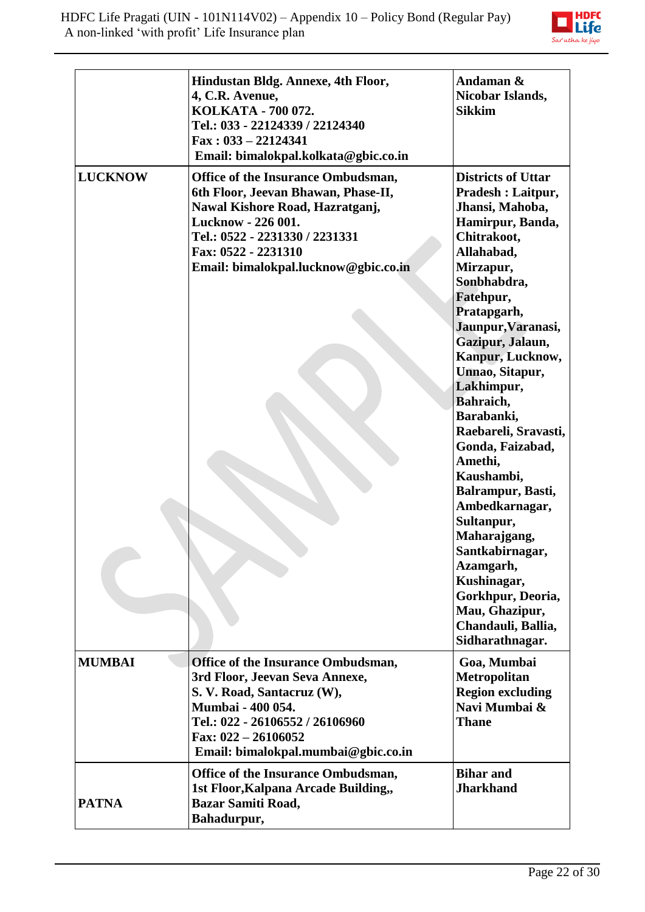

|                | Hindustan Bldg. Annexe, 4th Floor,<br>4, C.R. Avenue,<br>KOLKATA - 700 072.<br>Tel.: 033 - 22124339 / 22124340<br>$\text{Fax}: 033 - 22124341$<br>Email: bimalokpal.kolkata@gbic.co.in                                                     | Andaman &<br>Nicobar Islands,<br><b>Sikkim</b>                                                                                                                                                                                                                                                                                                                                                                                                                                                                                                                                        |
|----------------|--------------------------------------------------------------------------------------------------------------------------------------------------------------------------------------------------------------------------------------------|---------------------------------------------------------------------------------------------------------------------------------------------------------------------------------------------------------------------------------------------------------------------------------------------------------------------------------------------------------------------------------------------------------------------------------------------------------------------------------------------------------------------------------------------------------------------------------------|
| <b>LUCKNOW</b> | <b>Office of the Insurance Ombudsman,</b><br>6th Floor, Jeevan Bhawan, Phase-II,<br>Nawal Kishore Road, Hazratganj,<br>Lucknow - 226 001.<br>Tel.: 0522 - 2231330 / 2231331<br>Fax: 0522 - 2231310<br>Email: bimalokpal.lucknow@gbic.co.in | <b>Districts of Uttar</b><br><b>Pradesh : Laitpur,</b><br>Jhansi, Mahoba,<br>Hamirpur, Banda,<br>Chitrakoot,<br>Allahabad,<br>Mirzapur,<br>Sonbhabdra,<br>Fatehpur,<br>Pratapgarh,<br>Jaunpur, Varanasi,<br>Gazipur, Jalaun,<br>Kanpur, Lucknow,<br>Unnao, Sitapur,<br>Lakhimpur,<br>Bahraich,<br>Barabanki,<br>Raebareli, Sravasti,<br>Gonda, Faizabad,<br>Amethi,<br>Kaushambi,<br>Balrampur, Basti,<br>Ambedkarnagar,<br>Sultanpur,<br>Maharajgang,<br>Santkabirnagar,<br>Azamgarh,<br>Kushinagar,<br>Gorkhpur, Deoria,<br>Mau, Ghazipur,<br>Chandauli, Ballia,<br>Sidharathnagar. |
| <b>MUMBAI</b>  | <b>Office of the Insurance Ombudsman,</b><br>3rd Floor, Jeevan Seva Annexe,<br>S. V. Road, Santacruz (W),<br>Mumbai - 400 054.<br>Tel.: 022 - 26106552 / 26106960<br>Fax: $022 - 26106052$<br>Email: bimalokpal.mumbai@gbic.co.in          | Goa, Mumbai<br>Metropolitan<br><b>Region excluding</b><br>Navi Mumbai &<br><b>Thane</b>                                                                                                                                                                                                                                                                                                                                                                                                                                                                                               |
| <b>PATNA</b>   | <b>Office of the Insurance Ombudsman,</b><br>1st Floor, Kalpana Arcade Building,,<br><b>Bazar Samiti Road,</b><br>Bahadurpur,                                                                                                              | <b>Bihar and</b><br><b>Jharkhand</b>                                                                                                                                                                                                                                                                                                                                                                                                                                                                                                                                                  |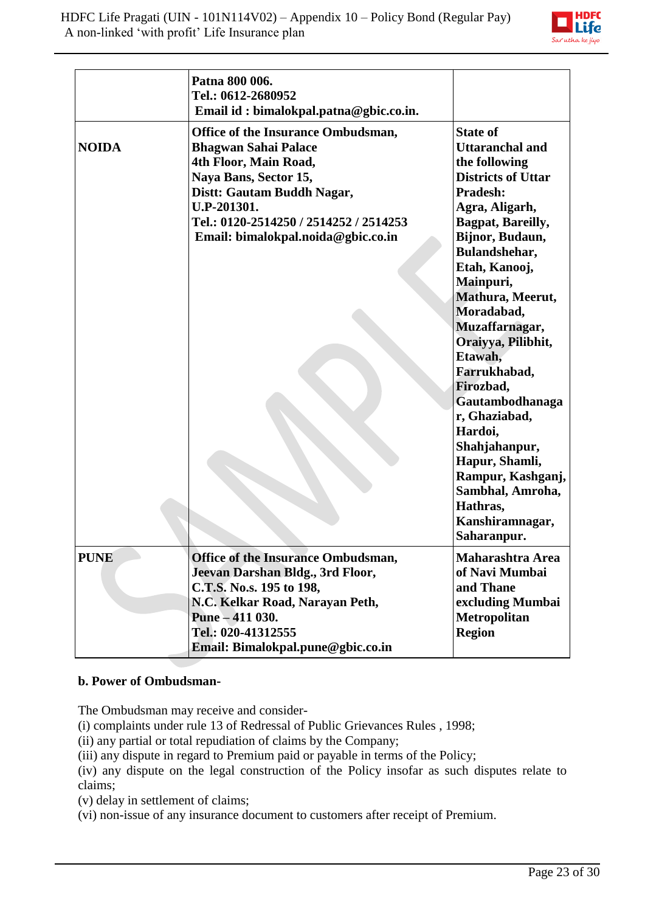

|              | Patna 800 006.<br>Tel.: 0612-2680952<br>Email id: bimalokpal.patna@gbic.co.in.                                                                                                                                                                   |                                                                                                                                                                                                                                                                                                                                                                                                                                                                                                         |
|--------------|--------------------------------------------------------------------------------------------------------------------------------------------------------------------------------------------------------------------------------------------------|---------------------------------------------------------------------------------------------------------------------------------------------------------------------------------------------------------------------------------------------------------------------------------------------------------------------------------------------------------------------------------------------------------------------------------------------------------------------------------------------------------|
| <b>NOIDA</b> | Office of the Insurance Ombudsman,<br><b>Bhagwan Sahai Palace</b><br>4th Floor, Main Road,<br>Naya Bans, Sector 15,<br>Distt: Gautam Buddh Nagar,<br>U.P-201301.<br>Tel.: 0120-2514250 / 2514252 / 2514253<br>Email: bimalokpal.noida@gbic.co.in | <b>State of</b><br><b>Uttaranchal and</b><br>the following<br><b>Districts of Uttar</b><br>Pradesh:<br>Agra, Aligarh,<br>Bagpat, Bareilly,<br>Bijnor, Budaun,<br>Bulandshehar,<br>Etah, Kanooj,<br>Mainpuri,<br>Mathura, Meerut,<br>Moradabad,<br>Muzaffarnagar,<br>Oraiyya, Pilibhit,<br>Etawah,<br>Farrukhabad,<br>Firozbad,<br>Gautambodhanaga<br>r, Ghaziabad,<br>Hardoi,<br>Shahjahanpur,<br>Hapur, Shamli,<br>Rampur, Kashganj,<br>Sambhal, Amroha,<br>Hathras,<br>Kanshiramnagar,<br>Saharanpur. |
| <b>PUNE</b>  | Office of the Insurance Ombudsman,<br>Jeevan Darshan Bldg., 3rd Floor,<br>C.T.S. No.s. 195 to 198,<br>N.C. Kelkar Road, Narayan Peth,<br>Pune - 411 030.<br>Tel.: 020-41312555<br>Email: Bimalokpal.pune@gbic.co.in                              | <b>Maharashtra Area</b><br>of Navi Mumbai<br>and Thane<br>excluding Mumbai<br><b>Metropolitan</b><br><b>Region</b>                                                                                                                                                                                                                                                                                                                                                                                      |

#### **b. Power of Ombudsman-**

The Ombudsman may receive and consider-

[\(i\)](http://indiankanoon.org/doc/160521836/) complaints under rule 13 of Redressal of Public Grievances Rules , 1998;

[\(ii\)](http://indiankanoon.org/doc/156757242/) any partial or total repudiation of claims by the Company;

[\(iii\)](http://indiankanoon.org/doc/163591613/) any dispute in regard to Premium paid or payable in terms of the Policy;

[\(iv\)](http://indiankanoon.org/doc/31367799/) any dispute on the legal construction of the Policy insofar as such disputes relate to claims;

[\(v\)](http://indiankanoon.org/doc/26463888/) delay in settlement of claims;

[\(vi\)](http://indiankanoon.org/doc/47238858/) non-issue of any insurance document to customers after receipt of Premium.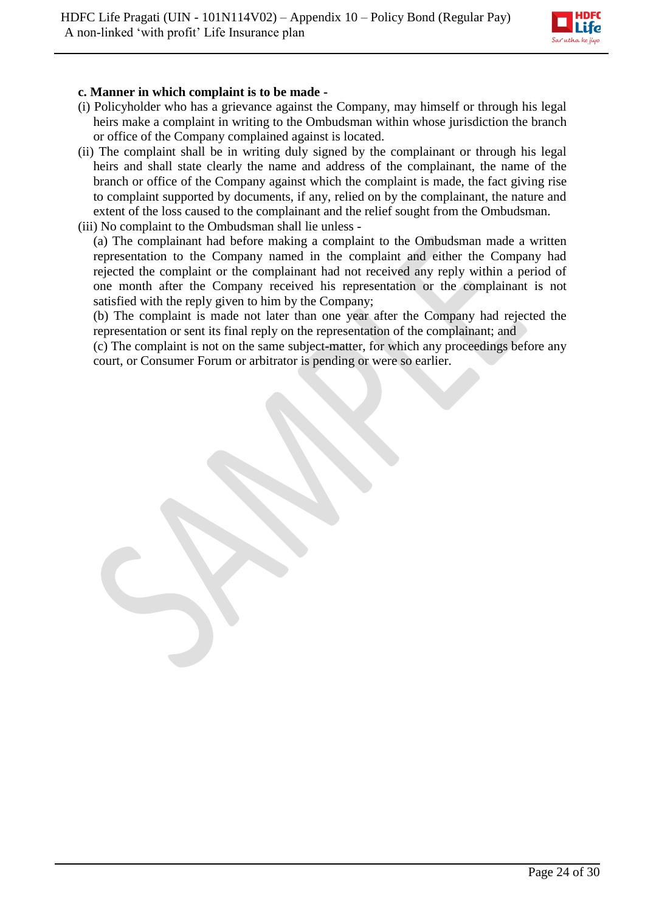

### **c. Manner in which complaint is to be made -**

- [\(i\)](http://indiankanoon.org/doc/160481793/) Policyholder who has a grievance against the Company, may himself or through his legal heirs make a complaint in writing to the Ombudsman within whose jurisdiction the branch or office of the Company complained against is located.
- [\(ii\)](http://indiankanoon.org/doc/116915928/) The complaint shall be in writing duly signed by the complainant or through his legal heirs and shall state clearly the name and address of the complainant, the name of the branch or office of the Company against which the complaint is made, the fact giving rise to complaint supported by documents, if any, relied on by the complainant, the nature and extent of the loss caused to the complainant and the relief sought from the Ombudsman.
- [\(iii\)](http://indiankanoon.org/doc/99464357/) No complaint to the Ombudsman shall lie unless [\(a\)](http://indiankanoon.org/doc/87794950/) The complainant had before making a complaint to the Ombudsman made a written

representation to the Company named in the complaint and either the Company had rejected the complaint or the complainant had not received any reply within a period of one month after the Company received his representation or the complainant is not satisfied with the reply given to him by the Company;

[\(b\)](http://indiankanoon.org/doc/84880221/) The complaint is made not later than one year after the Company had rejected the representation or sent its final reply on the representation of the complainant; and

[\(c\)](http://indiankanoon.org/doc/116794480/) The complaint is not on the same subject-matter, for which any proceedings before any court, or Consumer Forum or arbitrator is pending or were so earlier.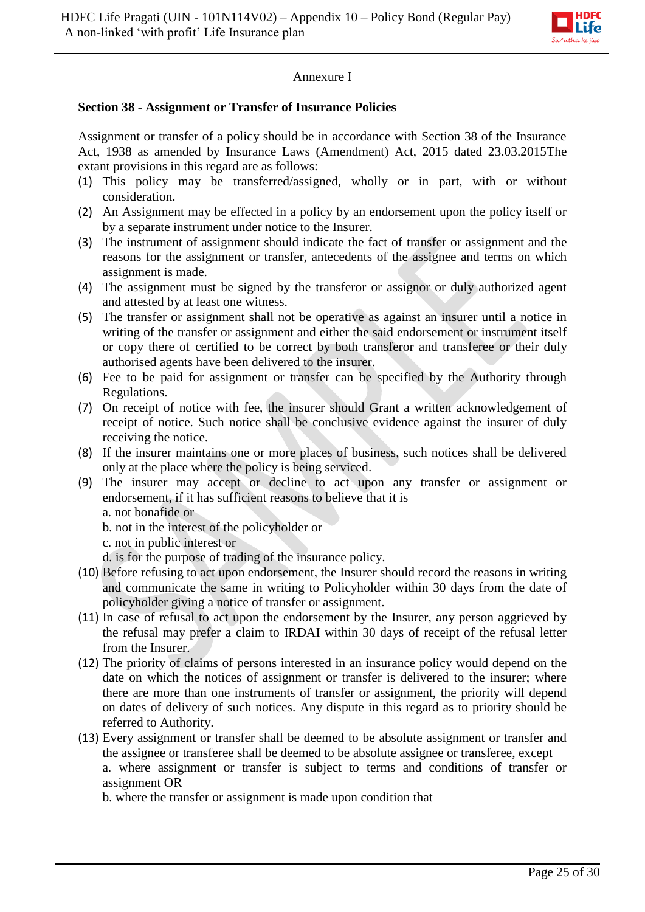

### Annexure I

#### **Section 38 - Assignment or Transfer of Insurance Policies**

Assignment or transfer of a policy should be in accordance with Section 38 of the Insurance Act, 1938 as amended by Insurance Laws (Amendment) Act, 2015 dated 23.03.2015The extant provisions in this regard are as follows:

- (1) This policy may be transferred/assigned, wholly or in part, with or without consideration.
- (2) An Assignment may be effected in a policy by an endorsement upon the policy itself or by a separate instrument under notice to the Insurer.
- (3) The instrument of assignment should indicate the fact of transfer or assignment and the reasons for the assignment or transfer, antecedents of the assignee and terms on which assignment is made.
- (4) The assignment must be signed by the transferor or assignor or duly authorized agent and attested by at least one witness.
- (5) The transfer or assignment shall not be operative as against an insurer until a notice in writing of the transfer or assignment and either the said endorsement or instrument itself or copy there of certified to be correct by both transferor and transferee or their duly authorised agents have been delivered to the insurer.
- (6) Fee to be paid for assignment or transfer can be specified by the Authority through Regulations.
- (7) On receipt of notice with fee, the insurer should Grant a written acknowledgement of receipt of notice. Such notice shall be conclusive evidence against the insurer of duly receiving the notice.
- (8) If the insurer maintains one or more places of business, such notices shall be delivered only at the place where the policy is being serviced.
- (9) The insurer may accept or decline to act upon any transfer or assignment or endorsement, if it has sufficient reasons to believe that it is

a. not bonafide or

- b. not in the interest of the policyholder or
- c. not in public interest or
- d. is for the purpose of trading of the insurance policy.
- (10) Before refusing to act upon endorsement, the Insurer should record the reasons in writing and communicate the same in writing to Policyholder within 30 days from the date of policyholder giving a notice of transfer or assignment.
- (11) In case of refusal to act upon the endorsement by the Insurer, any person aggrieved by the refusal may prefer a claim to IRDAI within 30 days of receipt of the refusal letter from the Insurer.
- (12) The priority of claims of persons interested in an insurance policy would depend on the date on which the notices of assignment or transfer is delivered to the insurer; where there are more than one instruments of transfer or assignment, the priority will depend on dates of delivery of such notices. Any dispute in this regard as to priority should be referred to Authority.
- (13) Every assignment or transfer shall be deemed to be absolute assignment or transfer and the assignee or transferee shall be deemed to be absolute assignee or transferee, except a. where assignment or transfer is subject to terms and conditions of transfer or assignment OR

b. where the transfer or assignment is made upon condition that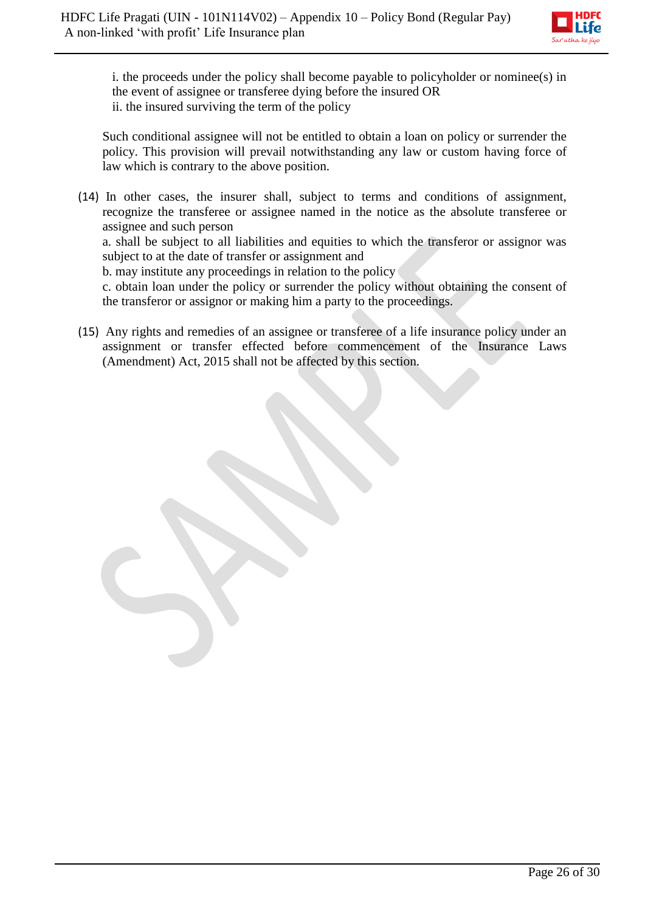

i. the proceeds under the policy shall become payable to policyholder or nominee(s) in the event of assignee or transferee dying before the insured OR ii. the insured surviving the term of the policy

Such conditional assignee will not be entitled to obtain a loan on policy or surrender the policy. This provision will prevail notwithstanding any law or custom having force of law which is contrary to the above position.

(14) In other cases, the insurer shall, subject to terms and conditions of assignment, recognize the transferee or assignee named in the notice as the absolute transferee or assignee and such person a. shall be subject to all liabilities and equities to which the transferor or assignor was

subject to at the date of transfer or assignment and

b. may institute any proceedings in relation to the policy

c. obtain loan under the policy or surrender the policy without obtaining the consent of the transferor or assignor or making him a party to the proceedings.

(15) Any rights and remedies of an assignee or transferee of a life insurance policy under an assignment or transfer effected before commencement of the Insurance Laws (Amendment) Act, 2015 shall not be affected by this section.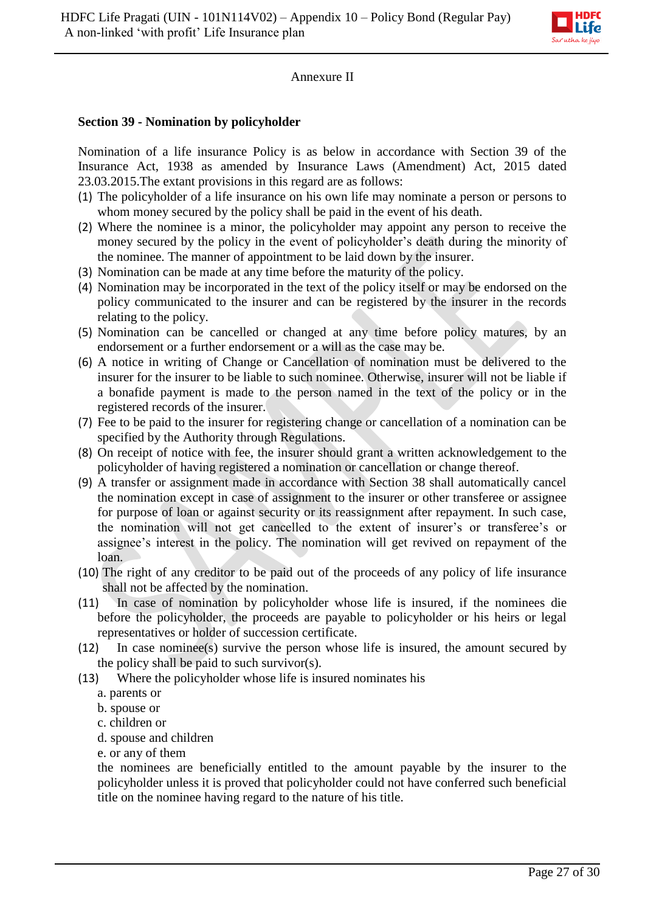

# Annexure II

### **Section 39 - Nomination by policyholder**

Nomination of a life insurance Policy is as below in accordance with Section 39 of the Insurance Act, 1938 as amended by Insurance Laws (Amendment) Act, 2015 dated 23.03.2015.The extant provisions in this regard are as follows:

- (1) The policyholder of a life insurance on his own life may nominate a person or persons to whom money secured by the policy shall be paid in the event of his death.
- (2) Where the nominee is a minor, the policyholder may appoint any person to receive the money secured by the policy in the event of policyholder's death during the minority of the nominee. The manner of appointment to be laid down by the insurer.
- (3) Nomination can be made at any time before the maturity of the policy.
- (4) Nomination may be incorporated in the text of the policy itself or may be endorsed on the policy communicated to the insurer and can be registered by the insurer in the records relating to the policy.
- (5) Nomination can be cancelled or changed at any time before policy matures, by an endorsement or a further endorsement or a will as the case may be.
- (6) A notice in writing of Change or Cancellation of nomination must be delivered to the insurer for the insurer to be liable to such nominee. Otherwise, insurer will not be liable if a bonafide payment is made to the person named in the text of the policy or in the registered records of the insurer.
- (7) Fee to be paid to the insurer for registering change or cancellation of a nomination can be specified by the Authority through Regulations.
- (8) On receipt of notice with fee, the insurer should grant a written acknowledgement to the policyholder of having registered a nomination or cancellation or change thereof.
- (9) A transfer or assignment made in accordance with Section 38 shall automatically cancel the nomination except in case of assignment to the insurer or other transferee or assignee for purpose of loan or against security or its reassignment after repayment. In such case, the nomination will not get cancelled to the extent of insurer's or transferee's or assignee's interest in the policy. The nomination will get revived on repayment of the loan.
- (10) The right of any creditor to be paid out of the proceeds of any policy of life insurance shall not be affected by the nomination.
- (11) In case of nomination by policyholder whose life is insured, if the nominees die before the policyholder, the proceeds are payable to policyholder or his heirs or legal representatives or holder of succession certificate.
- (12) In case nominee(s) survive the person whose life is insured, the amount secured by the policy shall be paid to such survivor(s).
- (13) Where the policyholder whose life is insured nominates his
	- a. parents or
	- b. spouse or
	- c. children or
	- d. spouse and children
	- e. or any of them

the nominees are beneficially entitled to the amount payable by the insurer to the policyholder unless it is proved that policyholder could not have conferred such beneficial title on the nominee having regard to the nature of his title.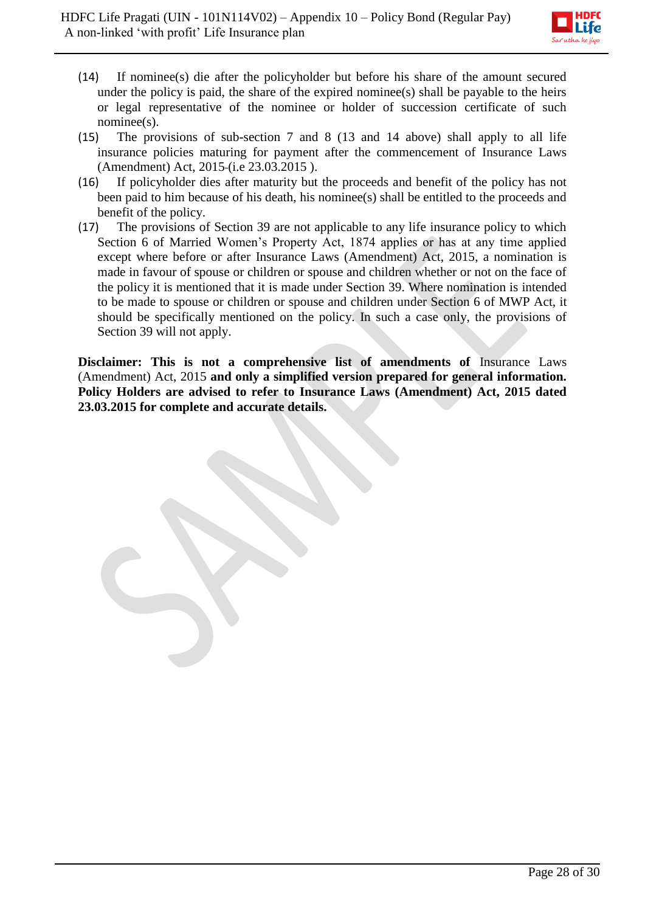

- (14) If nominee(s) die after the policyholder but before his share of the amount secured under the policy is paid, the share of the expired nominee(s) shall be payable to the heirs or legal representative of the nominee or holder of succession certificate of such nominee(s).
- (15) The provisions of sub-section 7 and 8 (13 and 14 above) shall apply to all life insurance policies maturing for payment after the commencement of Insurance Laws (Amendment) Act, 2015 (i.e 23.03.2015 ).
- (16) If policyholder dies after maturity but the proceeds and benefit of the policy has not been paid to him because of his death, his nominee(s) shall be entitled to the proceeds and benefit of the policy.
- (17) The provisions of Section 39 are not applicable to any life insurance policy to which Section 6 of Married Women's Property Act, 1874 applies or has at any time applied except where before or after Insurance Laws (Amendment) Act, 2015, a nomination is made in favour of spouse or children or spouse and children whether or not on the face of the policy it is mentioned that it is made under Section 39. Where nomination is intended to be made to spouse or children or spouse and children under Section 6 of MWP Act, it should be specifically mentioned on the policy. In such a case only, the provisions of Section 39 will not apply.

**Disclaimer: This is not a comprehensive list of amendments of** Insurance Laws (Amendment) Act, 2015 **and only a simplified version prepared for general information. Policy Holders are advised to refer to Insurance Laws (Amendment) Act, 2015 dated 23.03.2015 for complete and accurate details.**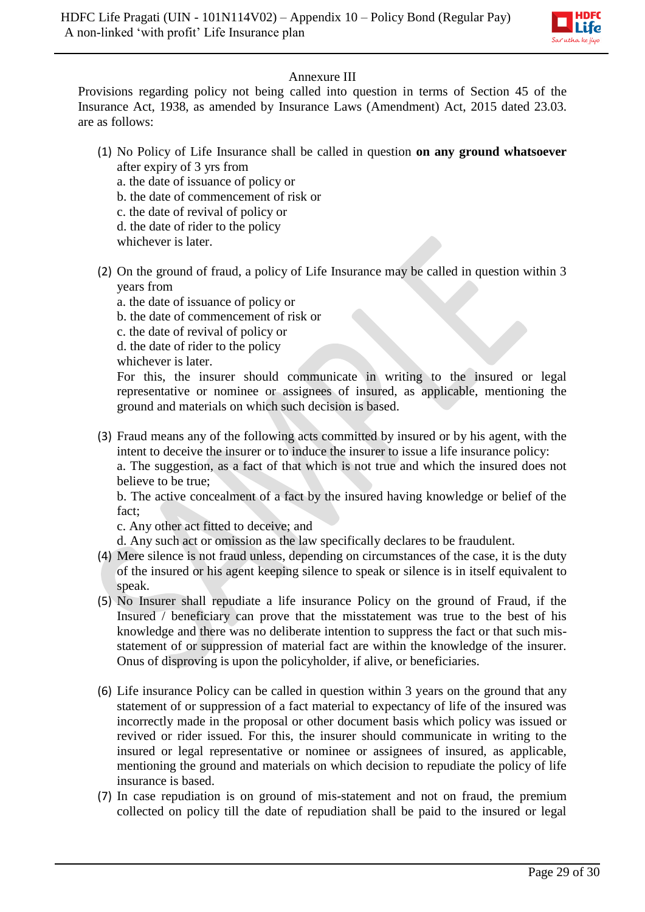

# Annexure III

Provisions regarding policy not being called into question in terms of Section 45 of the Insurance Act, 1938, as amended by Insurance Laws (Amendment) Act, 2015 dated 23.03. are as follows:

- (1) No Policy of Life Insurance shall be called in question **on any ground whatsoever**  after expiry of 3 yrs from
	- a. the date of issuance of policy or
	- b. the date of commencement of risk or
	- c. the date of revival of policy or
	- d. the date of rider to the policy
	- whichever is later.
- (2) On the ground of fraud, a policy of Life Insurance may be called in question within 3 years from
	- a. the date of issuance of policy or
	- b. the date of commencement of risk or
	- c. the date of revival of policy or
	- d. the date of rider to the policy
	- whichever is later.

For this, the insurer should communicate in writing to the insured or legal representative or nominee or assignees of insured, as applicable, mentioning the ground and materials on which such decision is based.

- (3) Fraud means any of the following acts committed by insured or by his agent, with the intent to deceive the insurer or to induce the insurer to issue a life insurance policy: a. The suggestion, as a fact of that which is not true and which the insured does not
	- believe to be true;

b. The active concealment of a fact by the insured having knowledge or belief of the fact;

c. Any other act fitted to deceive; and

d. Any such act or omission as the law specifically declares to be fraudulent.

- (4) Mere silence is not fraud unless, depending on circumstances of the case, it is the duty of the insured or his agent keeping silence to speak or silence is in itself equivalent to speak.
- (5) No Insurer shall repudiate a life insurance Policy on the ground of Fraud, if the Insured / beneficiary can prove that the misstatement was true to the best of his knowledge and there was no deliberate intention to suppress the fact or that such misstatement of or suppression of material fact are within the knowledge of the insurer. Onus of disproving is upon the policyholder, if alive, or beneficiaries.
- (6) Life insurance Policy can be called in question within 3 years on the ground that any statement of or suppression of a fact material to expectancy of life of the insured was incorrectly made in the proposal or other document basis which policy was issued or revived or rider issued. For this, the insurer should communicate in writing to the insured or legal representative or nominee or assignees of insured, as applicable, mentioning the ground and materials on which decision to repudiate the policy of life insurance is based.
- (7) In case repudiation is on ground of mis-statement and not on fraud, the premium collected on policy till the date of repudiation shall be paid to the insured or legal